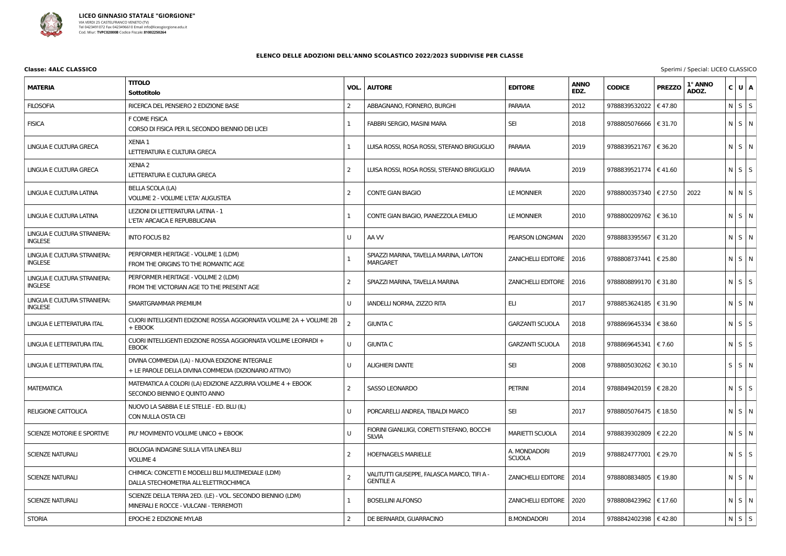

## **Classe: 4ALC CLASSICO** Sperimi / Special: LICEO CLASSICO

| <b>MATERIA</b>                                       | <b>TITOLO</b><br>Sottotitolo                                                                             | VOL.           | <b>AUTORE</b>                                                   | <b>EDITORE</b>                | <b>ANNO</b><br>EDZ. | <b>CODICE</b>           | <b>PREZZO</b>    | 1° ANNO<br>ADOZ. | C U A       |  |
|------------------------------------------------------|----------------------------------------------------------------------------------------------------------|----------------|-----------------------------------------------------------------|-------------------------------|---------------------|-------------------------|------------------|------------------|-------------|--|
| <b>FILOSOFIA</b>                                     | RICERCA DEL PENSIERO 2 EDIZIONE BASE                                                                     | 2              | ABBAGNANO, FORNERO, BURGHI                                      | <b>PARAVIA</b>                | 2012                | 9788839532022           | €47.80           |                  | $N$ $S$ $S$ |  |
| <b>FISICA</b>                                        | F COME FISICA<br>CORSO DI FISICA PER IL SECONDO BIENNIO DEI LICEI                                        |                | FABBRI SERGIO, MASINI MARA                                      | <b>SEI</b>                    | 2018                | 9788805076666   € 31.70 |                  |                  | N S N       |  |
| LINGUA E CULTURA GRECA                               | <b>XENIA 1</b><br>LETTERATURA E CULTURA GRECA                                                            |                | LUISA ROSSI, ROSA ROSSI, STEFANO BRIGUGLIO                      | <b>PARAVIA</b>                | 2019                | 9788839521767           | € 36.20          |                  | N S N       |  |
| LINGUA E CULTURA GRECA                               | <b>XENIA 2</b><br>LETTERATURA E CULTURA GRECA                                                            | 2              | LUISA ROSSI, ROSA ROSSI, STEFANO BRIGUGLIO                      | <b>PARAVIA</b>                | 2019                | 9788839521774   €41.60  |                  |                  | $N$ $S$ $S$ |  |
| LINGUA E CULTURA LATINA                              | <b>BELLA SCOLA (LA)</b><br>VOLUME 2 - VOLUME L'ETA' AUGUSTEA                                             | 2              | <b>CONTE GIAN BIAGIO</b>                                        | <b>LE MONNIER</b>             | 2020                | 9788800357340   € 27.50 |                  | 2022             | $N$ $N$ $S$ |  |
| LINGUA E CULTURA LATINA                              | LEZIONI DI LETTERATURA LATINA - 1<br>L'ETA' ARCAICA E REPUBBLICANA                                       |                | CONTE GIAN BIAGIO, PIANEZZOLA EMILIO                            | LE MONNIER                    | 2010                | 9788800209762   € 36.10 |                  |                  | N S N       |  |
| <b>LINGUA E CULTURA STRANIERA:</b><br><b>INGLESE</b> | <b>INTO FOCUS B2</b>                                                                                     | U              | AA W                                                            | PEARSON LONGMAN               | 2020                | 9788883395567           | € 31.20          |                  | $N$ $S$ $N$ |  |
| LINGUA E CULTURA STRANIERA:<br><b>INGLESE</b>        | PERFORMER HERITAGE - VOLUME 1 (LDM)<br>FROM THE ORIGINS TO THE ROMANTIC AGE                              |                | SPIAZZI MARINA, TAVELLA MARINA, LAYTON<br><b>MARGARET</b>       | <b>ZANICHELLI EDITORE</b>     | 2016                | 9788808737441   € 25.80 |                  |                  | $N$ $S$ $N$ |  |
| LINGUA E CULTURA STRANIERA:<br><b>INGLESE</b>        | PERFORMER HERITAGE - VOLUME 2 (LDM)<br>FROM THE VICTORIAN AGE TO THE PRESENT AGE                         | 2              | SPIAZZI MARINA, TAVELLA MARINA                                  | <b>ZANICHELLI EDITORE</b>     | 2016                | 9788808899170   € 31.80 |                  |                  | $N$ $S$ $S$ |  |
| LINGUA E CULTURA STRANIERA:<br><b>INGLESE</b>        | SMARTGRAMMAR PREMIUM                                                                                     | U              | IANDELLI NORMA, ZIZZO RITA                                      | ELI                           | 2017                | 9788853624185           | € 31.90          |                  | N S N       |  |
| LINGUA E LETTERATURA ITAL                            | CUORI INTELLIGENTI EDIZIONE ROSSA AGGIORNATA VOLUME 2A + VOLUME 2B<br>+ EBOOK                            | 2              | <b>GIUNTA C</b>                                                 | <b>GARZANTI SCUOLA</b>        | 2018                | 9788869645334           | € 38.60          |                  | $N$ $S$ $S$ |  |
| LINGUA E LETTERATURA ITAL                            | CUORI INTELLIGENTI EDIZIONE ROSSA AGGIORNATA VOLUME LEOPARDI +<br><b>EBOOK</b>                           | U              | <b>GIUNTA C</b>                                                 | <b>GARZANTI SCUOLA</b>        | 2018                | 9788869645341           | € 7.60           |                  | $N$ $S$ $S$ |  |
| LINGUA E LETTERATURA ITAL                            | DIVINA COMMEDIA (LA) - NUOVA EDIZIONE INTEGRALE<br>+ LE PAROLE DELLA DIVINA COMMEDIA (DIZIONARIO ATTIVO) | U              | <b>ALIGHIERI DANTE</b>                                          | <b>SEI</b>                    | 2008                | 9788805030262   € 30.10 |                  |                  | $S$ $S$ $N$ |  |
| MATEMATICA                                           | MATEMATICA A COLORI (LA) EDIZIONE AZZURRA VOLUME 4 + EBOOK<br>SECONDO BIENNIO E QUINTO ANNO              | $\overline{2}$ | <b>SASSO LEONARDO</b>                                           | <b>PETRINI</b>                | 2014                | 9788849420159           | $\epsilon$ 28.20 |                  | $N$ $S$ $S$ |  |
| <b>RELIGIONE CATTOLICA</b>                           | NUOVO LA SABBIA E LE STELLE - ED. BLU (IL)<br>CON NULLA OSTA CEI                                         | U              | PORCARELLI ANDREA, TIBALDI MARCO                                | <b>SEI</b>                    | 2017                | 9788805076475   € 18.50 |                  |                  | N S N       |  |
| SCIENZE MOTORIE E SPORTIVE                           | PIU' MOVIMENTO VOLUME UNICO + EBOOK                                                                      | U              | FIORINI GIANLUIGI, CORETTI STEFANO, BOCCHI<br>SILVIA            | <b>MARIETTI SCUOLA</b>        | 2014                | 9788839302809   € 22.20 |                  |                  | N S N       |  |
| SCIENZE NATURALI                                     | BIOLOGIA INDAGINE SULLA VITA LINEA BLU<br><b>VOLUME 4</b>                                                | 2              | <b>HOEFNAGELS MARIELLE</b>                                      | A. MONDADORI<br><b>SCUOLA</b> | 2019                | 9788824777001   € 29.70 |                  |                  | $N$ $S$ $S$ |  |
| SCIENZE NATURALI                                     | CHIMICA: CONCETTI E MODELLI BLU MULTIMEDIALE (LDM)<br>DALLA STECHIOMETRIA ALL'ELETTROCHIMICA             |                | VALITUTTI GIUSEPPE, FALASCA MARCO, TIFI A -<br><b>GENTILE A</b> | <b>ZANICHELLI EDITORE</b>     | 2014                | 9788808834805   € 19.80 |                  |                  | $N$ $S$ $N$ |  |
| SCIENZE NATURALI                                     | SCIENZE DELLA TERRA 2ED. (LE) - VOL. SECONDO BIENNIO (LDM)<br>MINERALI E ROCCE - VULCANI - TERREMOTI     |                | <b>BOSELLINI ALFONSO</b>                                        | <b>ZANICHELLI EDITORE</b>     | 2020                | 9788808423962   € 17.60 |                  |                  | $N$ $S$ $N$ |  |
| <b>STORIA</b>                                        | EPOCHE 2 EDIZIONE MYLAB                                                                                  | 2              | DE BERNARDI, GUARRACINO                                         | <b>B.MONDADORI</b>            | 2014                | 9788842402398   €42.80  |                  |                  | $N$ $S$ $S$ |  |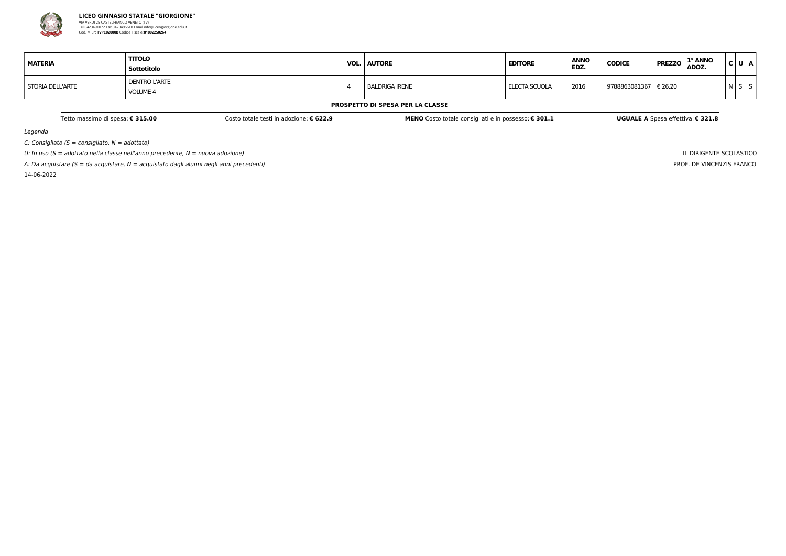

Legenda

 $C:$  Consigliato (S = consigliato,  $N =$  adottato)

U: In uso ( $S =$  adottato nella classe nell'anno precedente,  $N =$  nuova adozione)

A: Da acquistare ( $S = da$  acquistare,  $N = ac$ quistato dagli alunni negli anni precedenti)

14-06-2022

IL DIRIGENTE SCOLASTICO PROF. DE VINCENZIS FRANCO

| <b>MATERIA</b>   | <b>TITOLO</b><br>Sottotitolo            | <b>VOL. AUTORE</b>    | <b>EDITORE</b> | <b>ANNO</b><br>EDZ. | <b>CODICE</b> | 1° ANNO<br><b>PREZZO</b><br>ADOZ. | C U A |  |
|------------------|-----------------------------------------|-----------------------|----------------|---------------------|---------------|-----------------------------------|-------|--|
| STORIA DELL'ARTE | <b>DENTRO L'ARTE</b><br><b>VOLUME 4</b> | <b>BALDRIGA IRENE</b> | ELECTA SCUOLA  | 2016                | 9788863081367 | € 26.20                           | N     |  |

#### **PROSPETTO DI SPESA PER LA CLASSE**

Tetto massimo di spesa: € 315.00 Costo totale testi in adozione: € 622.9 MENO Costo totale consigliati e in possesso: € 301.1 UGUALE A Spesa effettiva: € 321.8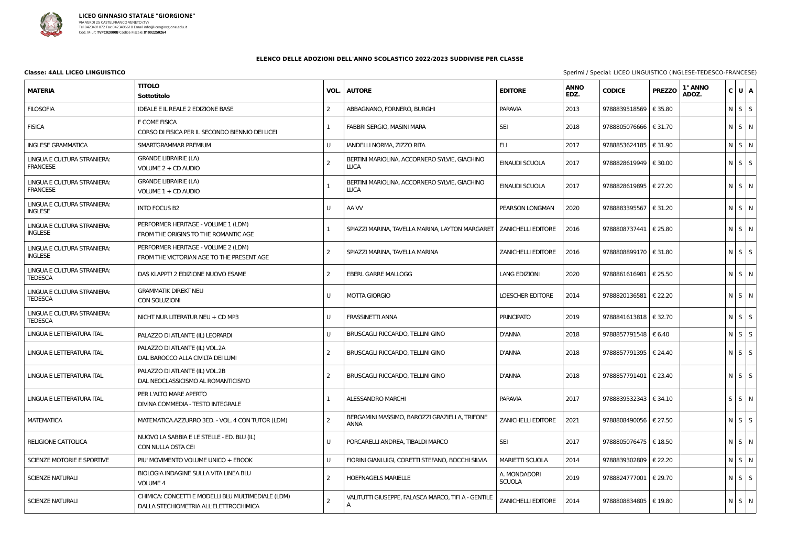

| <b>MATERIA</b>                                 | <b>TITOLO</b><br>Sottotitolo                                                                 | VOL.           | <b>AUTORE</b>                                                | <b>EDITORE</b>                | <b>ANNO</b><br>EDZ. | <b>CODICE</b>           | <b>PREZZO</b> | 1° ANNO<br>ADOZ. | C U A             |
|------------------------------------------------|----------------------------------------------------------------------------------------------|----------------|--------------------------------------------------------------|-------------------------------|---------------------|-------------------------|---------------|------------------|-------------------|
| <b>FILOSOFIA</b>                               | <b>IDEALE E IL REALE 2 EDIZIONE BASE</b>                                                     | 2              | ABBAGNANO, FORNERO, BURGHI                                   | <b>PARAVIA</b>                | 2013                | 9788839518569   € 35.80 |               |                  | $N \mid S \mid S$ |
| <b>FISICA</b>                                  | F COME FISICA<br>CORSO DI FISICA PER IL SECONDO BIENNIO DEI LICEI                            |                | FABBRI SERGIO, MASINI MARA                                   | <b>SEI</b>                    | 2018                | 9788805076666   € 31.70 |               |                  | N S N             |
| <b>INGLESE GRAMMATICA</b>                      | SMARTGRAMMAR PREMIUM                                                                         | U              | IANDELLI NORMA, ZIZZO RITA                                   | ELI                           | 2017                | 9788853624185   € 31.90 |               |                  | $N$ $S$ $N$       |
| LINGUA E CULTURA STRANIERA:<br><b>FRANCESE</b> | <b>GRANDE LIBRAIRIE (LA)</b><br>VOLUME 2 + CD AUDIO                                          | 2              | BERTINI MARIOLINA, ACCORNERO SYLVIE, GIACHINO<br><b>LUCA</b> | EINAUDI SCUOLA                | 2017                | 9788828619949   € 30.00 |               |                  | $N$ $S$ $S$       |
| LINGUA E CULTURA STRANIERA:<br><b>FRANCESE</b> | <b>GRANDE LIBRAIRIE (LA)</b><br>VOLUME 1 + CD AUDIO                                          |                | BERTINI MARIOLINA, ACCORNERO SYLVIE, GIACHINO<br><b>LUCA</b> | EINAUDI SCUOLA                | 2017                | 9788828619895   € 27.20 |               |                  | $N$ $S$ $N$       |
| LINGUA E CULTURA STRANIERA:<br><b>INGLESE</b>  | <b>INTO FOCUS B2</b>                                                                         | U              | AA W                                                         | PEARSON LONGMAN               | 2020                | 9788883395567   € 31.20 |               |                  | N S N             |
| LINGUA E CULTURA STRANIERA:<br><b>INGLESE</b>  | PERFORMER HERITAGE - VOLUME 1 (LDM)<br>FROM THE ORIGINS TO THE ROMANTIC AGE                  |                | SPIAZZI MARINA, TAVELLA MARINA, LAYTON MARGARET              | <b>ZANICHELLI EDITORE</b>     | 2016                | 9788808737441   € 25.80 |               |                  | N S N             |
| LINGUA E CULTURA STRANIERA:<br><b>INGLESE</b>  | PERFORMER HERITAGE - VOLUME 2 (LDM)<br>FROM THE VICTORIAN AGE TO THE PRESENT AGE             | 2              | SPIAZZI MARINA, TAVELLA MARINA                               | <b>ZANICHELLI EDITORE</b>     | 2016                | 9788808899170   € 31.80 |               |                  | $N$ $S$ $S$       |
| LINGUA E CULTURA STRANIERA:<br><b>TEDESCA</b>  | DAS KLAPPT! 2 EDIZIONE NUOVO ESAME                                                           | $\overline{2}$ | <b>EBERL GARRE MALLOGG</b>                                   | <b>LANG EDIZIONI</b>          | 2020                | 9788861616981   € 25.50 |               |                  | N S N             |
| LINGUA E CULTURA STRANIERA:<br><b>TEDESCA</b>  | <b>GRAMMATIK DIREKT NEU</b><br>CON SOLUZIONI                                                 | U              | <b>MOTTA GIORGIO</b>                                         | <b>LOESCHER EDITORE</b>       | 2014                | 9788820136581   € 22.20 |               |                  | N S N             |
| LINGUA E CULTURA STRANIERA:<br><b>TEDESCA</b>  | NICHT NUR LITERATUR NEU + CD MP3                                                             | U              | <b>FRASSINETTI ANNA</b>                                      | <b>PRINCIPATO</b>             | 2019                | 9788841613818   € 32.70 |               |                  | $N$ $S$ $S$       |
| LINGUA E LETTERATURA ITAL                      | PALAZZO DI ATLANTE (IL) LEOPARDI                                                             | U              | BRUSCAGLI RICCARDO, TELLINI GINO                             | <b>D'ANNA</b>                 | 2018                | 9788857791548   € 6.40  |               |                  | $N$ $S$ $S$       |
| LINGUA E LETTERATURA ITAL                      | PALAZZO DI ATLANTE (IL) VOL.2A<br>DAL BAROCCO ALLA CIVILTA DEI LUMI                          | $\overline{2}$ | BRUSCAGLI RICCARDO, TELLINI GINO                             | <b>D'ANNA</b>                 | 2018                | 9788857791395   € 24.40 |               |                  | $N$ $S$ $S$       |
| LINGUA E LETTERATURA ITAL                      | PALAZZO DI ATLANTE (IL) VOL.2B<br>DAL NEOCLASSICISMO AL ROMANTICISMO                         | 2              | BRUSCAGLI RICCARDO, TELLINI GINO                             | <b>D'ANNA</b>                 | 2018                | 9788857791401   € 23.40 |               |                  | $N$ $S$ $S$       |
| LINGUA E LETTERATURA ITAL                      | PER L'ALTO MARE APERTO<br>DIVINA COMMEDIA - TESTO INTEGRALE                                  |                | ALESSANDRO MARCHI                                            | PARAVIA                       | 2017                | 9788839532343   € 34.10 |               |                  | $S$ $S$ $N$       |
| MATEMATICA                                     | MATEMATICA.AZZURRO 3ED. - VOL. 4 CON TUTOR (LDM)                                             | 2              | BERGAMINI MASSIMO, BAROZZI GRAZIELLA, TRIFONE<br><b>ANNA</b> | <b>ZANICHELLI EDITORE</b>     | 2021                | 9788808490056   € 27.50 |               |                  | $N$ $S$ $S$       |
| RELIGIONE CATTOLICA                            | NUOVO LA SABBIA E LE STELLE - ED. BLU (IL)<br>CON NULLA OSTA CEI                             | U              | PORCARELLI ANDREA, TIBALDI MARCO                             | <b>SEI</b>                    | 2017                | 9788805076475   € 18.50 |               |                  | $N$ $S$ $N$       |
| SCIENZE MOTORIE E SPORTIVE                     | PIU' MOVIMENTO VOLUME UNICO + EBOOK                                                          | U              | FIORINI GIANLUIGI, CORETTI STEFANO, BOCCHI SILVIA            | <b>MARIETTI SCUOLA</b>        | 2014                | 9788839302809   € 22.20 |               |                  | N S N             |
| SCIENZE NATURALI                               | BIOLOGIA INDAGINE SULLA VITA LINEA BLU<br><b>VOLUME 4</b>                                    | 2              | <b>HOEFNAGELS MARIELLE</b>                                   | A. MONDADORI<br><b>SCUOLA</b> | 2019                | 9788824777001   € 29.70 |               |                  | $N$ $S$ $S$       |
| <b>SCIENZE NATURALI</b>                        | CHIMICA: CONCETTI E MODELLI BLU MULTIMEDIALE (LDM)<br>DALLA STECHIOMETRIA ALL'ELETTROCHIMICA |                | VALITUTTI GIUSEPPE, FALASCA MARCO, TIFI A - GENTILE<br>A     | <b>ZANICHELLI EDITORE</b>     | 2014                | 9788808834805   € 19.80 |               |                  | $N$ $S$ $N$       |

**Classe: 4ALL LICEO LINGUISTICO CONTRANCESE** Sperimi / Special: LICEO LINGUISTICO (INGLESE-TEDESCO-FRANCESE)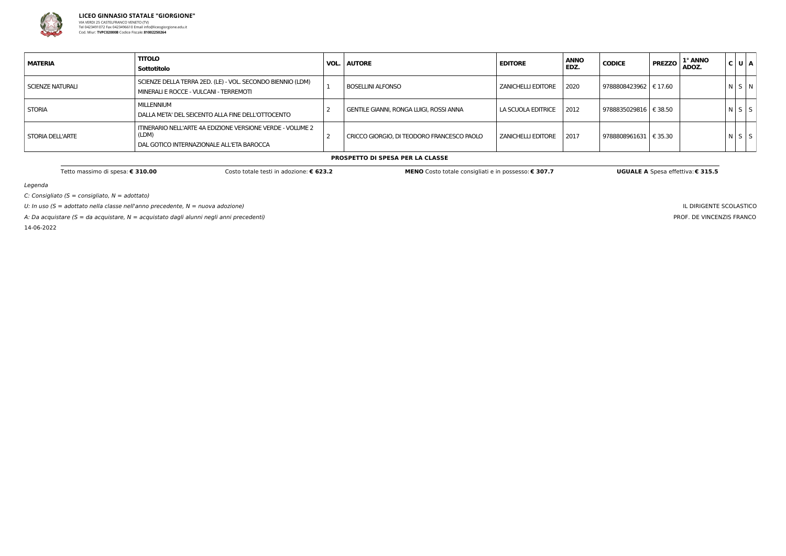

Legenda

C: Consigliato ( $S =$  consigliato,  $N =$  adottato)

U: In uso ( $S =$  adottato nella classe nell'anno precedente,  $N =$  nuova adozione)

A: Da acquistare (S = da acquistare,  $N =$  acquistato dagli alunni negli anni precedenti)

14-06-2022

IL DIRIGENTE SCOLASTICO PROF. DE VINCENZIS FRANCO

| <b>MATERIA</b>     | <b>TITOLO</b><br>Sottotitolo                                                                                     | <b>VOL.   AUTORE</b>                       | <b>EDITORE</b>            | <b>ANNO</b><br>EDZ. | <b>CODICE</b>           | <b>PREZZO</b> | 1° ANNO<br>ADOZ. | C U A       |  |
|--------------------|------------------------------------------------------------------------------------------------------------------|--------------------------------------------|---------------------------|---------------------|-------------------------|---------------|------------------|-------------|--|
| I SCIENZE NATURALI | SCIENZE DELLA TERRA 2ED. (LE) - VOL. SECONDO BIENNIO (LDM)<br>MINERALI E ROCCE - VULCANI - TERREMOTI             | <b>BOSELLINI ALFONSO</b>                   | <b>ZANICHELLI EDITORE</b> | 2020                | 9788808423962   € 17.60 |               |                  | N S N       |  |
| <b>STORIA</b>      | MILLENNIUM<br>DALLA META' DEL SEICENTO ALLA FINE DELL'OTTOCENTO                                                  | GENTILE GIANNI, RONGA LUIGI, ROSSI ANNA    | LA SCUOLA EDITRICE        | 2012                | 9788835029816   € 38.50 |               |                  | $N$ $S$ $S$ |  |
| STORIA DELL'ARTE   | ITINERARIO NELL'ARTE 4A EDIZIONE VERSIONE VERDE - VOLUME 2<br>(LDM)<br>DAL GOTICO INTERNAZIONALE ALL'ETA BAROCCA | CRICCO GIORGIO, DI TEODORO FRANCESCO PAOLO | <b>ZANICHELLI EDITORE</b> | 2017                | 9788808961631   € 35.30 |               |                  | $N$ $S$ $S$ |  |

#### **PROSPETTO DI SPESA PER LA CLASSE**

Tetto massimo di spesa: € 310.00 Costo totale testi in adozione: € 623.2 MENO Costo totale consigliati e in possesso: € 307.7 UGUALE A Spesa effettiva: € 315.5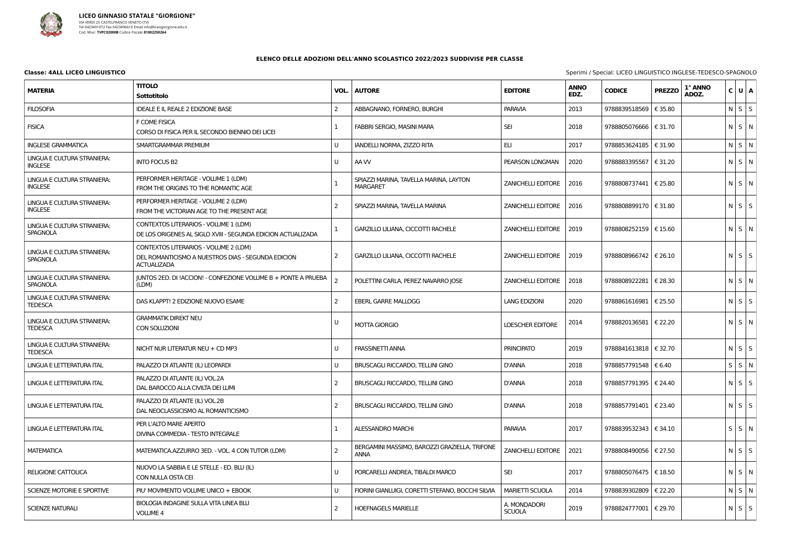

| <b>MATERIA</b>                                 | <b>TITOLO</b><br>Sottotitolo                                                                                      | VOL. | <b>AUTORE</b>                                                | <b>EDITORE</b>                | <b>ANNO</b><br>EDZ. | <b>CODICE</b>           | <b>PREZZO</b> | 1° ANNO<br>ADOZ. | C U A             |  |
|------------------------------------------------|-------------------------------------------------------------------------------------------------------------------|------|--------------------------------------------------------------|-------------------------------|---------------------|-------------------------|---------------|------------------|-------------------|--|
| <b>FILOSOFIA</b>                               | <b>IDEALE E IL REALE 2 EDIZIONE BASE</b>                                                                          | 2    | ABBAGNANO, FORNERO, BURGHI                                   | <b>PARAVIA</b>                | 2013                | 9788839518569           | € 35.80       |                  | $N$ $S$ $S$       |  |
| <b>FISICA</b>                                  | F COME FISICA<br>CORSO DI FISICA PER IL SECONDO BIENNIO DEI LICEI                                                 |      | FABBRI SERGIO, MASINI MARA                                   | <b>SEI</b>                    | 2018                | 9788805076666   € 31.70 |               |                  | $N \mid S \mid N$ |  |
| <b>INGLESE GRAMMATICA</b>                      | SMARTGRAMMAR PREMIUM                                                                                              | U    | IANDELLI NORMA, ZIZZO RITA                                   | ELI                           | 2017                | 9788853624185           | € 31.90       |                  | N S N             |  |
| LINGUA E CULTURA STRANIERA:<br><b>INGLESE</b>  | <b>INTO FOCUS B2</b>                                                                                              | U    | AA W                                                         | PEARSON LONGMAN               | 2020                | 9788883395567           | € 31.20       |                  | $N$ $S$ $N$       |  |
| LINGUA E CULTURA STRANIERA:<br><b>INGLESE</b>  | PERFORMER HERITAGE - VOLUME 1 (LDM)<br>FROM THE ORIGINS TO THE ROMANTIC AGE                                       |      | SPIAZZI MARINA, TAVELLA MARINA, LAYTON<br><b>MARGARET</b>    | <b>ZANICHELLI EDITORE</b>     | 2016                | 9788808737441   € 25.80 |               |                  | $N$ $S$ $N$       |  |
| LINGUA E CULTURA STRANIERA:<br><b>INGLESE</b>  | PERFORMER HERITAGE - VOLUME 2 (LDM)<br>FROM THE VICTORIAN AGE TO THE PRESENT AGE                                  | 2    | SPIAZZI MARINA, TAVELLA MARINA                               | <b>ZANICHELLI EDITORE</b>     | 2016                | 9788808899170   € 31.80 |               |                  | $N$ $S$ $S$       |  |
| LINGUA E CULTURA STRANIERA:<br><b>SPAGNOLA</b> | CONTEXTOS LITERARIOS - VOLUME 1 (LDM)<br>DE LOS ORIGENES AL SIGLO XVIII - SEGUNDA EDICION ACTUALIZADA             |      | GARZILLO LILIANA, CICCOTTI RACHELE                           | <b>ZANICHELLI EDITORE</b>     | 2019                | 9788808252159   € 15.60 |               |                  | $N$ $S$ $N$       |  |
| LINGUA E CULTURA STRANIERA:<br>SPAGNOLA        | CONTEXTOS LITERARIOS - VOLUME 2 (LDM)<br>DEL ROMANTICISMO A NUESTROS DIAS - SEGUNDA EDICION<br><b>ACTUALIZADA</b> | 2    | GARZILLO LILIANA, CICCOTTI RACHELE                           | <b>ZANICHELLI EDITORE</b>     | 2019                | 9788808966742   € 26.10 |               |                  | $N$ $S$ $S$       |  |
| LINGUA E CULTURA STRANIERA:<br>SPAGNOLA        | JUNTOS 2ED. DI !ACCION! - CONFEZIONE VOLUME B + PONTE A PRUEBA<br>(LDM)                                           |      | POLETTINI CARLA, PEREZ NAVARRO JOSE                          | <b>ZANICHELLI EDITORE</b>     | 2018                | 9788808922281   € 28.30 |               |                  | $N$ $S$ $N$       |  |
| LINGUA E CULTURA STRANIERA:<br><b>TEDESCA</b>  | DAS KLAPPT! 2 EDIZIONE NUOVO ESAME                                                                                | 2    | <b>EBERL GARRE MALLOGG</b>                                   | <b>LANG EDIZIONI</b>          | 2020                | 9788861616981   € 25.50 |               |                  | $N$ $S$ $S$       |  |
| LINGUA E CULTURA STRANIERA:<br><b>TEDESCA</b>  | <b>GRAMMATIK DIREKT NEU</b><br>CON SOLUZIONI                                                                      |      | <b>MOTTA GIORGIO</b>                                         | <b>LOESCHER EDITORE</b>       | 2014                | 9788820136581   € 22.20 |               |                  | $N \mid S \mid N$ |  |
| LINGUA E CULTURA STRANIERA:<br><b>TEDESCA</b>  | NICHT NUR LITERATUR NEU + CD MP3                                                                                  | U    | <b>FRASSINETTI ANNA</b>                                      | <b>PRINCIPATO</b>             | 2019                | 9788841613818   € 32.70 |               |                  | $N \mid S \mid S$ |  |
| LINGUA E LETTERATURA ITAL                      | PALAZZO DI ATLANTE (IL) LEOPARDI                                                                                  | U    | <b>BRUSCAGLI RICCARDO, TELLINI GINO</b>                      | <b>D'ANNA</b>                 | 2018                | 9788857791548   € 6.40  |               |                  | $S$ $S$ $N$       |  |
| LINGUA E LETTERATURA ITAL                      | PALAZZO DI ATLANTE (IL) VOL.2A<br>DAL BAROCCO ALLA CIVILTA DEI LUMI                                               | 2    | <b>BRUSCAGLI RICCARDO, TELLINI GINO</b>                      | <b>D'ANNA</b>                 | 2018                | 9788857791395   € 24.40 |               |                  | $N$ $S$ $S$       |  |
| LINGUA E LETTERATURA ITAL                      | PALAZZO DI ATLANTE (IL) VOL.2B<br>DAL NEOCLASSICISMO AL ROMANTICISMO                                              |      | BRUSCAGLI RICCARDO, TELLINI GINO                             | <b>D'ANNA</b>                 | 2018                | 9788857791401   € 23.40 |               |                  | $N$ $S$ $S$       |  |
| LINGUA E LETTERATURA ITAL                      | PER L'ALTO MARE APERTO<br>DIVINA COMMEDIA - TESTO INTEGRALE                                                       |      | ALESSANDRO MARCHI                                            | <b>PARAVIA</b>                | 2017                | 9788839532343   € 34.10 |               |                  | $S \mid S \mid N$ |  |
| <b>MATEMATICA</b>                              | MATEMATICA.AZZURRO 3ED. - VOL. 4 CON TUTOR (LDM)                                                                  | 2    | BERGAMINI MASSIMO, BAROZZI GRAZIELLA, TRIFONE<br><b>ANNA</b> | <b>ZANICHELLI EDITORE</b>     | 2021                | 9788808490056   € 27.50 |               |                  | $N$ $S$ $S$       |  |
| <b>RELIGIONE CATTOLICA</b>                     | NUOVO LA SABBIA E LE STELLE - ED. BLU (IL)<br>CON NULLA OSTA CEI                                                  | U    | PORCARELLI ANDREA, TIBALDI MARCO                             | SEI                           | 2017                | 9788805076475   € 18.50 |               |                  | $N$ $S$ $N$       |  |
| SCIENZE MOTORIE E SPORTIVE                     | PIU' MOVIMENTO VOLUME UNICO + EBOOK                                                                               | U    | FIORINI GIANLUIGI, CORETTI STEFANO, BOCCHI SILVIA            | <b>MARIETTI SCUOLA</b>        | 2014                | 9788839302809   € 22.20 |               |                  | $N$ $S$ $N$       |  |
| <b>SCIENZE NATURALI</b>                        | BIOLOGIA INDAGINE SULLA VITA LINEA BLU<br><b>VOLUME 4</b>                                                         |      | <b>HOEFNAGELS MARIELLE</b>                                   | A. MONDADORI<br><b>SCUOLA</b> | 2019                | 9788824777001   € 29.70 |               |                  | $N$ $S$ $S$       |  |

**Classe: 4ALL LICEO LINGUISTICO CONSUMISTICO INGLESE-TEDESCO-SPAGNOLO**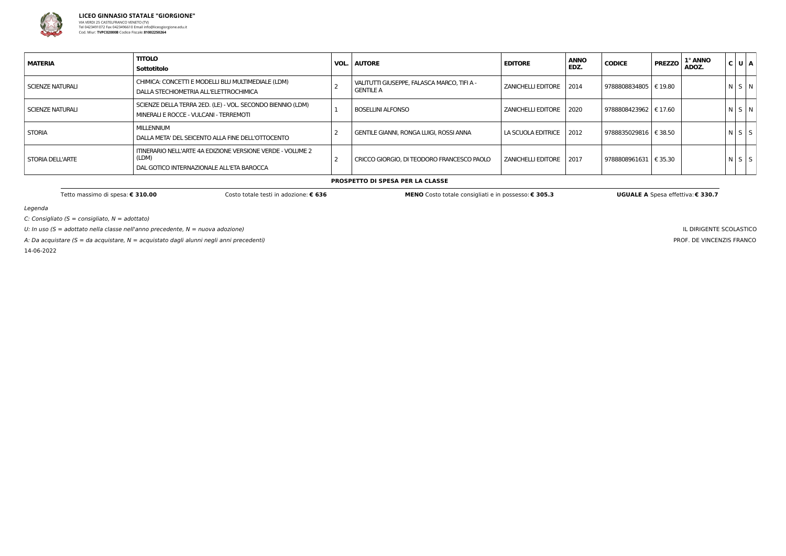

Legenda

 $C:$  Consigliato (S = consigliato,  $N =$  adottato)

U: In uso ( $S =$  adottato nella classe nell'anno precedente,  $N =$  nuova adozione)

A: Da acquistare ( $S = da$  acquistare,  $N = ac$ quistato dagli alunni negli anni precedenti)

14-06-2022

IL DIRIGENTE SCOLASTICO PROF. DE VINCENZIS FRANCO

| <b>MATERIA</b>   | <b>TITOLO</b><br>Sottotitolo                                                                                     | <b>VOL.   AUTORE</b>                                            | <b>EDITORE</b>            | <b>ANNO</b><br>EDZ. | <b>CODICE</b>           | <b>PREZZO</b> | 1° ANNO<br>ADOZ. | C U A       |
|------------------|------------------------------------------------------------------------------------------------------------------|-----------------------------------------------------------------|---------------------------|---------------------|-------------------------|---------------|------------------|-------------|
| SCIENZE NATURALI | CHIMICA: CONCETTI E MODELLI BLU MULTIMEDIALE (LDM)<br>DALLA STECHIOMETRIA ALL'ELETTROCHIMICA                     | VALITUTTI GIUSEPPE, FALASCA MARCO, TIFI A -<br><b>GENTILE A</b> | <b>ZANICHELLI EDITORE</b> | 2014                | 9788808834805   € 19.80 |               |                  | $N$ $S$ $N$ |
| SCIENZE NATURALI | SCIENZE DELLA TERRA 2ED. (LE) - VOL. SECONDO BIENNIO (LDM)<br>MINERALI E ROCCE - VULCANI - TERREMOTI             | <b>BOSELLINI ALFONSO</b>                                        | <b>ZANICHELLI EDITORE</b> | 2020                | 9788808423962   € 17.60 |               |                  | N S N       |
| <b>STORIA</b>    | MILLENNIUM<br>DALLA META' DEL SEICENTO ALLA FINE DELL'OTTOCENTO                                                  | <b>GENTILE GIANNI, RONGA LUIGI, ROSSI ANNA</b>                  | LA SCUOLA EDITRICE        | 2012                | 9788835029816   € 38.50 |               |                  | $N$ $S$ $S$ |
| STORIA DELL'ARTE | ITINERARIO NELL'ARTE 4A EDIZIONE VERSIONE VERDE - VOLUME 2<br>(LDM)<br>DAL GOTICO INTERNAZIONALE ALL'ETA BAROCCA | CRICCO GIORGIO. DI TEODORO FRANCESCO PAOLO                      | I ZANICHELLI EDITORE      | 2017                | 9788808961631   € 35.30 |               |                  | $N$ $S$ $S$ |

**PROSPETTO DI SPESA PER LA CLASSE**

Tetto massimo di spesa: € 310.00 Costo MENO Costo totale consigliati e in possesso: € 305.3 UGUALE A Spesa effettiva: € 330.7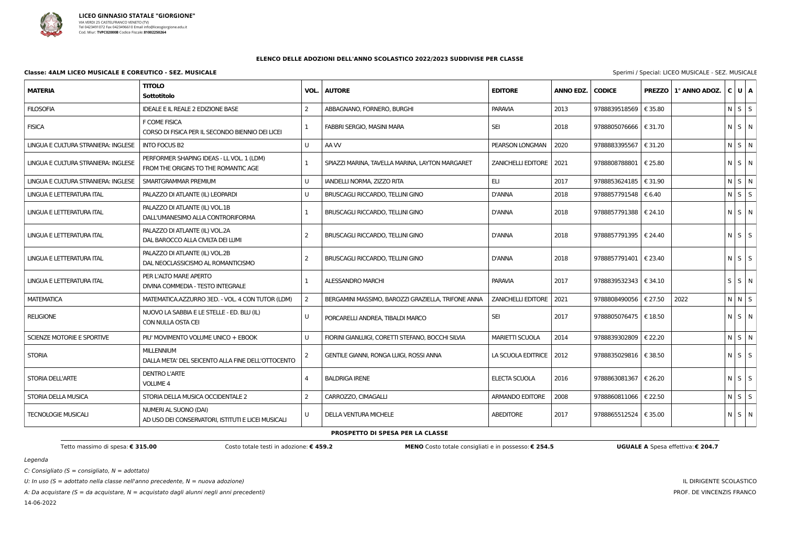

### Legenda

C: Consigliato ( $S =$  consigliato,  $N =$  adottato)

U: In uso ( $S =$  adottato nella classe nell'anno precedente,  $N =$  nuova adozione)

A: Da acquistare (S = da acquistare,  $N =$  acquistato dagli alunni negli anni precedenti)

14-06-2022

IL DIRIGENTE SCOLASTICO PROF. DE VINCENZIS FRANCO

#### **ELENCO DELLE ADOZIONI DELL'ANNO SCOLASTICO 2022/2023 SUDDIVISE PER CLASSE**

#### **Classe: 4ALM LICEO MUSICALE E COREUTICO - SEZ. MUSICALE** Subset of the set of the special of the special: LICEO MUSICALE - SEZ. MUSICALE

| <b>MATERIA</b>                      | <b>TITOLO</b><br><b>Sottotitolo</b>                                               | VOL.          | <b>AUTORE</b>                                      | <b>EDITORE</b>            | <b>ANNO EDZ.</b> | <b>CODICE</b>           |         | PREZZO   1º ANNO ADOZ. | C U A       |             |  |
|-------------------------------------|-----------------------------------------------------------------------------------|---------------|----------------------------------------------------|---------------------------|------------------|-------------------------|---------|------------------------|-------------|-------------|--|
| <b>FILOSOFIA</b>                    | <b>IDEALE E IL REALE 2 EDIZIONE BASE</b>                                          |               | ABBAGNANO, FORNERO, BURGHI                         | <b>PARAVIA</b>            | 2013             | 9788839518569           | € 35.80 |                        |             | $N$ $S$ $S$ |  |
| <b>FISICA</b>                       | F COME FISICA<br>CORSO DI FISICA PER IL SECONDO BIENNIO DEI LICEI                 |               | FABBRI SERGIO, MASINI MARA                         | <b>SEI</b>                | 2018             | 9788805076666   € 31.70 |         |                        | $N$ $S$ $N$ |             |  |
| LINGUA E CULTURA STRANIERA: INGLESE | <b>INTO FOCUS B2</b>                                                              | U             | AA W                                               | PEARSON LONGMAN           | 2020             | 9788883395567   € 31.20 |         |                        |             | $N$ $S$ $N$ |  |
| LINGUA E CULTURA STRANIERA: INGLESE | PERFORMER SHAPING IDEAS - LL VOL. 1 (LDM)<br>FROM THE ORIGINS TO THE ROMANTIC AGE |               | SPIAZZI MARINA, TAVELLA MARINA, LAYTON MARGARET    | ZANICHELLI EDITORE        | 2021             | 9788808788801   € 25.80 |         |                        | $N$ $S$ $N$ |             |  |
| LINGUA E CULTURA STRANIERA: INGLESE | SMARTGRAMMAR PREMIUM                                                              | U             | IANDELLI NORMA, ZIZZO RITA                         | ELI                       | 2017             | 9788853624185   € 31.90 |         |                        |             | $N$ $S$ $N$ |  |
| LINGUA E LETTERATURA ITAL           | PALAZZO DI ATLANTE (IL) LEOPARDI                                                  | U             | BRUSCAGLI RICCARDO, TELLINI GINO                   | <b>D'ANNA</b>             | 2018             | 9788857791548   € 6.40  |         |                        |             | $N$ $S$ $S$ |  |
| LINGUA E LETTERATURA ITAL           | PALAZZO DI ATLANTE (IL) VOL.1B<br>DALL'UMANESIMO ALLA CONTRORIFORMA               |               | BRUSCAGLI RICCARDO, TELLINI GINO                   | <b>D'ANNA</b>             | 2018             | 9788857791388   € 24.10 |         |                        | $N$ $S$ $N$ |             |  |
| LINGUA E LETTERATURA ITAL           | PALAZZO DI ATLANTE (IL) VOL.2A<br>DAL BAROCCO ALLA CIVILTA DEI LUMI               |               | <b>BRUSCAGLI RICCARDO, TELLINI GINO</b>            | <b>D'ANNA</b>             | 2018             | 9788857791395   € 24.40 |         |                        | $N$ $S$ $S$ |             |  |
| LINGUA E LETTERATURA ITAL           | PALAZZO DI ATLANTE (IL) VOL.2B<br>DAL NEOCLASSICISMO AL ROMANTICISMO              |               | BRUSCAGLI RICCARDO, TELLINI GINO                   | <b>D'ANNA</b>             | 2018             | 9788857791401   € 23.40 |         |                        | $N$ $S$ $S$ |             |  |
| LINGUA E LETTERATURA ITAL           | PER L'ALTO MARE APERTO<br>DIVINA COMMEDIA - TESTO INTEGRALE                       |               | ALESSANDRO MARCHI                                  | <b>PARAVIA</b>            | 2017             | 9788839532343   € 34.10 |         |                        | $S$ $S$ $N$ |             |  |
| <b>MATEMATICA</b>                   | MATEMATICA.AZZURRO 3ED. - VOL. 4 CON TUTOR (LDM)                                  |               | BERGAMINI MASSIMO, BAROZZI GRAZIELLA, TRIFONE ANNA | <b>ZANICHELLI EDITORE</b> | 2021             | 9788808490056           | € 27.50 | 2022                   |             | $N$ $N$ $S$ |  |
| <b>RELIGIONE</b>                    | NUOVO LA SABBIA E LE STELLE - ED. BLU (IL)<br>CON NULLA OSTA CEI                  | U             | PORCARELLI ANDREA, TIBALDI MARCO                   | <b>SEI</b>                | 2017             | 9788805076475   € 18.50 |         |                        | $N$ $S$ $N$ |             |  |
| SCIENZE MOTORIE E SPORTIVE          | PIU' MOVIMENTO VOLUME UNICO + EBOOK                                               | U             | FIORINI GIANLUIGI, CORETTI STEFANO, BOCCHI SILVIA  | <b>MARIETTI SCUOLA</b>    | 2014             | 9788839302809           | € 22.20 |                        |             | $N$ $S$ $N$ |  |
| <b>STORIA</b>                       | <b>MILLENNIUM</b><br>DALLA META' DEL SEICENTO ALLA FINE DELL'OTTOCENTO            |               | GENTILE GIANNI, RONGA LUIGI, ROSSI ANNA            | LA SCUOLA EDITRICE   2012 |                  | 9788835029816   € 38.50 |         |                        | $N$ $S$ $S$ |             |  |
| STORIA DELL'ARTE                    | <b>DENTRO L'ARTE</b><br><b>VOLUME 4</b>                                           |               | <b>BALDRIGA IRENE</b>                              | ELECTA SCUOLA             | 2016             | 9788863081367   € 26.20 |         |                        | $N$ $S$ $S$ |             |  |
| STORIA DELLA MUSICA                 | STORIA DELLA MUSICA OCCIDENTALE 2                                                 | $\mathcal{P}$ | CARROZZO, CIMAGALLI                                | ARMANDO EDITORE           | 2008             | 9788860811066           | € 22.50 |                        |             | $N$ $S$ $S$ |  |
| <b>TECNOLOGIE MUSICALI</b>          | NUMERI AL SUONO (DAI)<br>AD USO DEI CONSERVATORI, ISTITUTI E LICEI MUSICALI       | U             | DELLA VENTURA MICHELE                              | <b>ABEDITORE</b>          | 2017             | 9788865512524   € 35.00 |         |                        | $N$ $S$ $N$ |             |  |

### **PROSPETTO DI SPESA PER LA CLASSE**

Tetto massimo di spesa: € 315.00 Costo totale testi in adozione: € 459.2 MENO Costo totale consigliati e in possesso: € 254.5 UGUALE A Spesa effettiva: € 204.7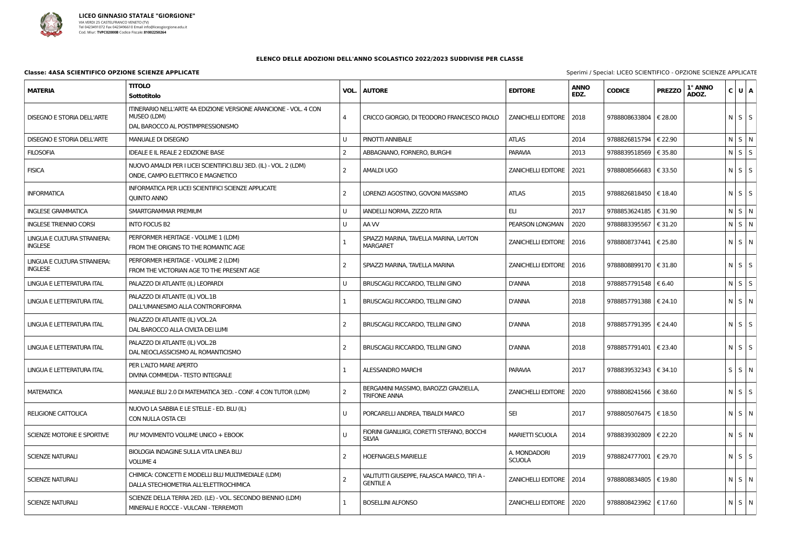

### **Classe: 4ASA SCIENTIFICO OPZIONE SCIENZE APPLICATE** Sperimi / Special: LICEO Sperimi / Special: LICEO Sperimi / Special: LICEO Sperimi / Special: LICEO Special: LICEO Special: LICEO Special: LICEO Special: LICEO Special:

| Sottotitolo                                                                                                          | VOL.           | <b>AUTORE</b>                                                   | <b>EDITORE</b>                | <b>ANNO</b><br>EDZ. | <b>CODICE</b>                                                                                                                                                              | <b>PREZZO</b> | 1° ANNO<br>ADOZ.                                                                                                                                                                                                                                                                                                                                                                                                                                                                                      |                                                                                                                                                                                                                                                                                                          |
|----------------------------------------------------------------------------------------------------------------------|----------------|-----------------------------------------------------------------|-------------------------------|---------------------|----------------------------------------------------------------------------------------------------------------------------------------------------------------------------|---------------|-------------------------------------------------------------------------------------------------------------------------------------------------------------------------------------------------------------------------------------------------------------------------------------------------------------------------------------------------------------------------------------------------------------------------------------------------------------------------------------------------------|----------------------------------------------------------------------------------------------------------------------------------------------------------------------------------------------------------------------------------------------------------------------------------------------------------|
| ITINERARIO NELL'ARTE 4A EDIZIONE VERSIONE ARANCIONE - VOL. 4 CON<br>MUSEO (LDM)<br>DAL BAROCCO AL POSTIMPRESSIONISMO | $\overline{4}$ | CRICCO GIORGIO, DI TEODORO FRANCESCO PAOLO                      |                               |                     |                                                                                                                                                                            |               |                                                                                                                                                                                                                                                                                                                                                                                                                                                                                                       |                                                                                                                                                                                                                                                                                                          |
| MANUALE DI DISEGNO                                                                                                   |                | PINOTTI ANNIBALE                                                | <b>ATLAS</b>                  | 2014                |                                                                                                                                                                            | € 22.90       |                                                                                                                                                                                                                                                                                                                                                                                                                                                                                                       |                                                                                                                                                                                                                                                                                                          |
| <b>IDEALE E IL REALE 2 EDIZIONE BASE</b>                                                                             | 2              | ABBAGNANO, FORNERO, BURGHI                                      | <b>PARAVIA</b>                | 2013                |                                                                                                                                                                            |               |                                                                                                                                                                                                                                                                                                                                                                                                                                                                                                       |                                                                                                                                                                                                                                                                                                          |
| NUOVO AMALDI PER I LICEI SCIENTIFICI.BLU 3ED. (IL) - VOL. 2 (LDM)<br>ONDE, CAMPO ELETTRICO E MAGNETICO               | $\overline{2}$ | <b>AMALDI UGO</b>                                               | <b>ZANICHELLI EDITORE</b>     | 2021                |                                                                                                                                                                            | € 33.50       |                                                                                                                                                                                                                                                                                                                                                                                                                                                                                                       |                                                                                                                                                                                                                                                                                                          |
| INFORMATICA PER LICEI SCIENTIFICI SCIENZE APPLICATE<br><b>QUINTO ANNO</b>                                            | -2             | LORENZI AGOSTINO, GOVONI MASSIMO                                | <b>ATLAS</b>                  | 2015                |                                                                                                                                                                            |               |                                                                                                                                                                                                                                                                                                                                                                                                                                                                                                       |                                                                                                                                                                                                                                                                                                          |
| SMARTGRAMMAR PREMIUM                                                                                                 | U              | IANDELLI NORMA, ZIZZO RITA                                      | ELI                           | 2017                |                                                                                                                                                                            |               |                                                                                                                                                                                                                                                                                                                                                                                                                                                                                                       |                                                                                                                                                                                                                                                                                                          |
| <b>INTO FOCUS B2</b>                                                                                                 |                | AA W                                                            | PEARSON LONGMAN               | 2020                |                                                                                                                                                                            | € 31.20       |                                                                                                                                                                                                                                                                                                                                                                                                                                                                                                       |                                                                                                                                                                                                                                                                                                          |
| PERFORMER HERITAGE - VOLUME 1 (LDM)<br>FROM THE ORIGINS TO THE ROMANTIC AGE                                          |                | SPIAZZI MARINA, TAVELLA MARINA, LAYTON<br><b>MARGARET</b>       |                               |                     |                                                                                                                                                                            |               |                                                                                                                                                                                                                                                                                                                                                                                                                                                                                                       |                                                                                                                                                                                                                                                                                                          |
| PERFORMER HERITAGE - VOLUME 2 (LDM)<br>FROM THE VICTORIAN AGE TO THE PRESENT AGE                                     | -2             | SPIAZZI MARINA, TAVELLA MARINA                                  |                               |                     |                                                                                                                                                                            |               |                                                                                                                                                                                                                                                                                                                                                                                                                                                                                                       |                                                                                                                                                                                                                                                                                                          |
| PALAZZO DI ATLANTE (IL) LEOPARDI                                                                                     |                | BRUSCAGLI RICCARDO, TELLINI GINO                                | <b>D'ANNA</b>                 | 2018                |                                                                                                                                                                            |               |                                                                                                                                                                                                                                                                                                                                                                                                                                                                                                       |                                                                                                                                                                                                                                                                                                          |
| PALAZZO DI ATLANTE (IL) VOL.1B<br>DALL'UMANESIMO ALLA CONTRORIFORMA                                                  |                | <b>BRUSCAGLI RICCARDO, TELLINI GINO</b>                         | D'ANNA                        | 2018                |                                                                                                                                                                            |               |                                                                                                                                                                                                                                                                                                                                                                                                                                                                                                       |                                                                                                                                                                                                                                                                                                          |
| PALAZZO DI ATLANTE (IL) VOL.2A<br>DAL BAROCCO ALLA CIVILTA DEI LUMI                                                  | -2             | BRUSCAGLI RICCARDO, TELLINI GINO                                | D'ANNA                        | 2018                |                                                                                                                                                                            |               |                                                                                                                                                                                                                                                                                                                                                                                                                                                                                                       |                                                                                                                                                                                                                                                                                                          |
| PALAZZO DI ATLANTE (IL) VOL.2B<br>DAL NEOCLASSICISMO AL ROMANTICISMO                                                 | -2             | BRUSCAGLI RICCARDO, TELLINI GINO                                | D'ANNA                        | 2018                |                                                                                                                                                                            |               |                                                                                                                                                                                                                                                                                                                                                                                                                                                                                                       |                                                                                                                                                                                                                                                                                                          |
| PER L'ALTO MARE APERTO<br>DIVINA COMMEDIA - TESTO INTEGRALE                                                          |                | <b>ALESSANDRO MARCHI</b>                                        | <b>PARAVIA</b>                | 2017                |                                                                                                                                                                            |               |                                                                                                                                                                                                                                                                                                                                                                                                                                                                                                       |                                                                                                                                                                                                                                                                                                          |
| MANUALE BLU 2.0 DI MATEMATICA 3ED. - CONF. 4 CON TUTOR (LDM)                                                         | $\overline{2}$ | BERGAMINI MASSIMO, BAROZZI GRAZIELLA,<br><b>TRIFONE ANNA</b>    |                               |                     |                                                                                                                                                                            |               |                                                                                                                                                                                                                                                                                                                                                                                                                                                                                                       |                                                                                                                                                                                                                                                                                                          |
| NUOVO LA SABBIA E LE STELLE - ED. BLU (IL)<br>CON NULLA OSTA CEI                                                     |                | PORCARELLI ANDREA, TIBALDI MARCO                                | <b>SEI</b>                    | 2017                |                                                                                                                                                                            |               |                                                                                                                                                                                                                                                                                                                                                                                                                                                                                                       |                                                                                                                                                                                                                                                                                                          |
| PIU' MOVIMENTO VOLUME UNICO + EBOOK                                                                                  |                | FIORINI GIANLUIGI, CORETTI STEFANO, BOCCHI<br><b>SILVIA</b>     | <b>MARIETTI SCUOLA</b>        | 2014                |                                                                                                                                                                            | € 22.20       |                                                                                                                                                                                                                                                                                                                                                                                                                                                                                                       |                                                                                                                                                                                                                                                                                                          |
| BIOLOGIA INDAGINE SULLA VITA LINEA BLU<br><b>VOLUME 4</b>                                                            | $\overline{2}$ | <b>HOEFNAGELS MARIELLE</b>                                      | A. MONDADORI<br><b>SCUOLA</b> | 2019                |                                                                                                                                                                            |               |                                                                                                                                                                                                                                                                                                                                                                                                                                                                                                       |                                                                                                                                                                                                                                                                                                          |
| CHIMICA: CONCETTI E MODELLI BLU MULTIMEDIALE (LDM)<br>DALLA STECHIOMETRIA ALL'ELETTROCHIMICA                         | -2             | VALITUTTI GIUSEPPE, FALASCA MARCO, TIFI A -<br><b>GENTILE A</b> |                               |                     |                                                                                                                                                                            |               |                                                                                                                                                                                                                                                                                                                                                                                                                                                                                                       |                                                                                                                                                                                                                                                                                                          |
| SCIENZE DELLA TERRA 2ED. (LE) - VOL. SECONDO BIENNIO (LDM)<br>MINERALI E ROCCE - VULCANI - TERREMOTI                 |                | <b>BOSELLINI ALFONSO</b>                                        |                               |                     |                                                                                                                                                                            |               |                                                                                                                                                                                                                                                                                                                                                                                                                                                                                                       |                                                                                                                                                                                                                                                                                                          |
|                                                                                                                      | <b>TITOLO</b>  |                                                                 |                               |                     | ZANICHELLI EDITORE   2018<br>ZANICHELLI EDITORE   2016<br>ZANICHELLI EDITORE   2016<br>ZANICHELLI EDITORE   2020<br>ZANICHELLI EDITORE   2014<br>ZANICHELLI EDITORE   2020 | 9788883395567 | 9788808633804   € 28.00<br>9788826815794<br>9788839518569   € 35.80<br>9788808566683<br>9788826818450   € 18.40<br>9788853624185   € 31.90<br>9788808737441   € 25.80<br>9788808899170   € 31.80<br>9788857791548 $\epsilon$ 6.40<br>9788857791388   € 24.10<br>9788857791395   € 24.40<br>9788857791401   € 23.40<br>9788839532343   € 34.10<br>9788808241566   € 38.60<br>9788805076475   € 18.50<br>9788839302809<br>9788824777001   € 29.70<br>9788808834805   € 19.80<br>9788808423962   € 17.60 | C U A <br>$N$ $S$ $S$<br>$N$ $S$ $N$<br>$N$ $S$ $S$<br>$N$ $S$ $S$<br>$N$ $S$ $S$<br>$N$ $S$ $N$<br>NSN<br>$N$ $S$ $N$<br>$N$ $S$ $S$<br>$N$ $S$ $S$<br>$N$ $S$ $N$<br>$N$ $S$ $S$<br>$N$ $S$ $S$<br>$S \mid S \mid N$<br>$N$ $S$ $S$<br>NSN<br>$N$ $S$ $N$<br>$N$ $S$ $S$<br>$N$ $S$ $N$<br>$N$ $S$ $N$ |

| pecial: LICEO SCIENTIFICO - OPZIONE SCIENZE APPLICATE |  |  |
|-------------------------------------------------------|--|--|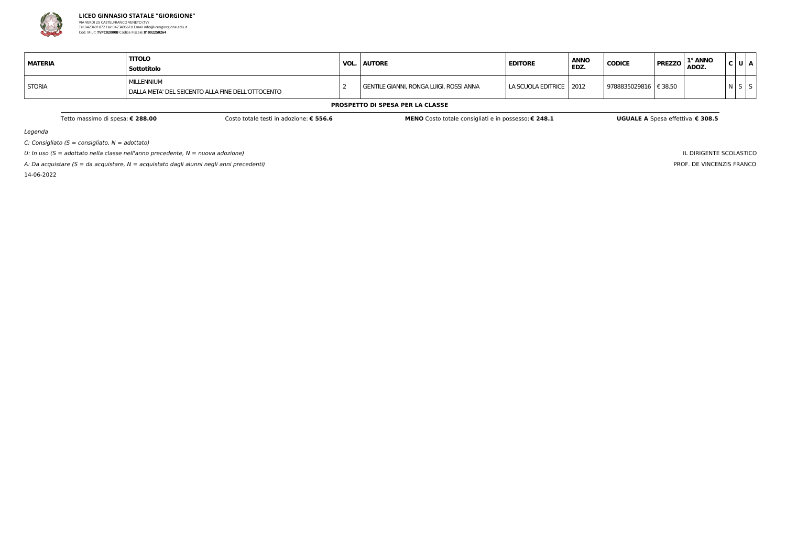

A: Da acquistare ( $S = da$  acquistare,  $N = ac$ quistato dagli alunni negli anni precedenti) 14-06-2022

Legenda

 $C:$  Consigliato (S = consigliato,  $N =$  adottato)

U: In uso ( $S =$  adottato nella classe nell'anno precedente,  $N =$  nuova adozione)

IL DIRIGENTE SCOLASTICO PROF. DE VINCENZIS FRANCO

| <b>MATERIA</b> | <b>TITOLO</b><br>Sottotitolo                                      | <b>VOL. AUTORE</b>                      | <b>EDITORE</b>            | <b>ANNO</b><br>EDZ. | <b>CODICE</b> | 1° ANNO<br><b>PREZZO</b><br>ADOZ. |     | U   A |
|----------------|-------------------------------------------------------------------|-----------------------------------------|---------------------------|---------------------|---------------|-----------------------------------|-----|-------|
| <b>STORIA</b>  | MILLENNIUM<br>I DALLA META' DEL SEICENTO ALLA FINE DELL'OTTOCENTO | GENTILE GIANNI, RONGA LUIGI, ROSSI ANNA | LA SCUOLA EDITRICE   2012 |                     | 9788835029816 | € 38.50                           | N S |       |

#### **PROSPETTO DI SPESA PER LA CLASSE**

Tetto massimo di spesa: € 288.00 Costo totale testi in adozione: € 556.6 MENO Costo totale consigliati e in possesso: € 248.1 UGUALE A Spesa effettiva: € 308.5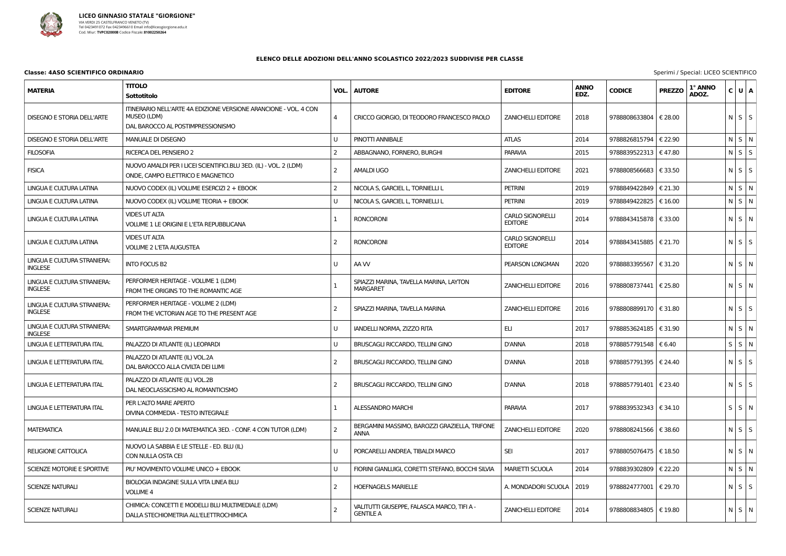

### **Classe: 4ASO SCIENTIFICO ORDINARIO** Special: LICEO Seperimi / Special: LICEO Seperimi / Special: LICEO SCIENTIFICO ORDINARIO

| <b>MATERIA</b>                                | <b>TITOLO</b><br>Sottotitolo                                                                                         | VOL. | <b>AUTORE</b>                                                   | <b>EDITORE</b>                            | <b>ANNO</b><br>EDZ. | <b>CODICE</b>           | <b>PREZZO</b> | 1° ANNO<br>ADOZ. | C U A             |  |
|-----------------------------------------------|----------------------------------------------------------------------------------------------------------------------|------|-----------------------------------------------------------------|-------------------------------------------|---------------------|-------------------------|---------------|------------------|-------------------|--|
| <b>DISEGNO E STORIA DELL'ARTE</b>             | ITINERARIO NELL'ARTE 4A EDIZIONE VERSIONE ARANCIONE - VOL. 4 CON<br>MUSEO (LDM)<br>DAL BAROCCO AL POSTIMPRESSIONISMO | 4    | CRICCO GIORGIO, DI TEODORO FRANCESCO PAOLO                      | <b>ZANICHELLI EDITORE</b>                 | 2018                | 9788808633804           | € 28.00       |                  | $N \mid S \mid S$ |  |
| <b>DISEGNO E STORIA DELL'ARTE</b>             | <b>MANUALE DI DISEGNO</b>                                                                                            | U    | PINOTTI ANNIBALE                                                | <b>ATLAS</b>                              | 2014                | 9788826815794   € 22.90 |               |                  | N S N             |  |
| <b>FILOSOFIA</b>                              | RICERCA DEL PENSIERO 2                                                                                               | 2    | ABBAGNANO, FORNERO, BURGHI                                      | <b>PARAVIA</b>                            | 2015                | 9788839522313   € 47.80 |               |                  | $N$ $S$ $S$       |  |
| <b>FISICA</b>                                 | NUOVO AMALDI PER I LICEI SCIENTIFICI.BLU 3ED. (IL) - VOL. 2 (LDM)<br>ONDE, CAMPO ELETTRICO E MAGNETICO               | 2    | <b>AMALDI UGO</b>                                               | <b>ZANICHELLI EDITORE</b>                 | 2021                | 9788808566683   € 33.50 |               |                  | $N$ $S$ $S$       |  |
| LINGUA E CULTURA LATINA                       | NUOVO CODEX (IL) VOLUME ESERCIZI 2 + EBOOK                                                                           | 2    | NICOLA S, GARCIEL L, TORNIELLI L                                | <b>PETRINI</b>                            | 2019                | 9788849422849   € 21.30 |               |                  | N S N             |  |
| LINGUA E CULTURA LATINA                       | NUOVO CODEX (IL) VOLUME TEORIA + EBOOK                                                                               | U    | NICOLA S, GARCIEL L, TORNIELLI L                                | <b>PETRINI</b>                            | 2019                | 9788849422825   € 16.00 |               |                  | $N$ $S$ $N$       |  |
| LINGUA E CULTURA LATINA                       | <b>VIDES UT ALTA</b><br>VOLUME 1 LE ORIGINI E L'ETA REPUBBLICANA                                                     | -1   | <b>RONCORONI</b>                                                | <b>CARLO SIGNORELLI</b><br><b>EDITORE</b> | 2014                | 9788843415878   € 33.00 |               |                  | $N$ S $N$         |  |
| LINGUA E CULTURA LATINA                       | <b>VIDES UT ALTA</b><br><b>VOLUME 2 L'ETA AUGUSTEA</b>                                                               | 2    | <b>RONCORONI</b>                                                | <b>CARLO SIGNORELLI</b><br><b>EDITORE</b> | 2014                | 9788843415885   € 21.70 |               |                  | $N \mid S \mid S$ |  |
| LINGUA E CULTURA STRANIERA:<br><b>INGLESE</b> | <b>INTO FOCUS B2</b>                                                                                                 | U    | AA W                                                            | PEARSON LONGMAN                           | 2020                | 9788883395567           | € 31.20       |                  | NSN               |  |
| LINGUA E CULTURA STRANIERA:<br><b>INGLESE</b> | PERFORMER HERITAGE - VOLUME 1 (LDM)<br>FROM THE ORIGINS TO THE ROMANTIC AGE                                          |      | SPIAZZI MARINA, TAVELLA MARINA, LAYTON<br><b>MARGARET</b>       | <b>ZANICHELLI EDITORE</b>                 | 2016                | 9788808737441   € 25.80 |               |                  | NSN               |  |
| LINGUA E CULTURA STRANIERA:<br><b>INGLESE</b> | PERFORMER HERITAGE - VOLUME 2 (LDM)<br>FROM THE VICTORIAN AGE TO THE PRESENT AGE                                     | 2    | SPIAZZI MARINA, TAVELLA MARINA                                  | <b>ZANICHELLI EDITORE</b>                 | 2016                | 9788808899170   € 31.80 |               |                  | $N$ S S           |  |
| LINGUA E CULTURA STRANIERA:<br><b>INGLESE</b> | SMARTGRAMMAR PREMIUM                                                                                                 |      | IANDELLI NORMA, ZIZZO RITA                                      | ELI                                       | 2017                | 9788853624185   € 31.90 |               |                  | NSN               |  |
| LINGUA E LETTERATURA ITAL                     | PALAZZO DI ATLANTE (IL) LEOPARDI                                                                                     |      | BRUSCAGLI RICCARDO, TELLINI GINO                                | <b>D'ANNA</b>                             | 2018                | 9788857791548   € 6.40  |               |                  | $S$ $S$ $N$       |  |
| <b>LINGUA E LETTERATURA ITAL</b>              | PALAZZO DI ATLANTE (IL) VOL.2A<br>DAL BAROCCO ALLA CIVILTA DEI LUMI                                                  | -2   | BRUSCAGLI RICCARDO, TELLINI GINO                                | D'ANNA                                    | 2018                | 9788857791395   € 24.40 |               |                  | $N$ $S$ $S$       |  |
| LINGUA E LETTERATURA ITAL                     | PALAZZO DI ATLANTE (IL) VOL.2B<br>DAL NEOCLASSICISMO AL ROMANTICISMO                                                 | 2    | <b>BRUSCAGLI RICCARDO, TELLINI GINO</b>                         | D'ANNA                                    | 2018                | 9788857791401   € 23.40 |               |                  | $N \mid S \mid S$ |  |
| LINGUA E LETTERATURA ITAL                     | PER L'ALTO MARE APERTO<br>DIVINA COMMEDIA - TESTO INTEGRALE                                                          | -1   | <b>ALESSANDRO MARCHI</b>                                        | PARAVIA                                   | 2017                | 9788839532343   € 34.10 |               |                  | S S N             |  |
| <b>MATEMATICA</b>                             | MANUALE BLU 2.0 DI MATEMATICA 3ED. - CONF. 4 CON TUTOR (LDM)                                                         | 2    | BERGAMINI MASSIMO, BAROZZI GRAZIELLA, TRIFONE<br><b>ANNA</b>    | <b>ZANICHELLI EDITORE</b>                 | 2020                | 9788808241566   € 38.60 |               |                  | $N$ $S$ $S$       |  |
| <b>RELIGIONE CATTOLICA</b>                    | NUOVO LA SABBIA E LE STELLE - ED. BLU (IL)<br>CON NULLA OSTA CEI                                                     |      | PORCARELLI ANDREA, TIBALDI MARCO                                | <b>SEI</b>                                | 2017                | 9788805076475   € 18.50 |               |                  | $N$ $S$ $N$       |  |
| SCIENZE MOTORIE E SPORTIVE                    | PIU' MOVIMENTO VOLUME UNICO + EBOOK                                                                                  |      | FIORINI GIANLUIGI, CORETTI STEFANO, BOCCHI SILVIA               | <b>MARIETTI SCUOLA</b>                    | 2014                | 9788839302809   € 22.20 |               |                  | $N$ $S$ $N$       |  |
| SCIENZE NATURALI                              | BIOLOGIA INDAGINE SULLA VITA LINEA BLU<br>VOLUME 4                                                                   | -2   | <b>HOEFNAGELS MARIELLE</b>                                      | A. MONDADORI SCUOLA   2019                |                     | 9788824777001   € 29.70 |               |                  | $N$ $S$ $S$       |  |
| <b>SCIENZE NATURALI</b>                       | CHIMICA: CONCETTI E MODELLI BLU MULTIMEDIALE (LDM)<br>DALLA STECHIOMETRIA ALL'ELETTROCHIMICA                         |      | VALITUTTI GIUSEPPE, FALASCA MARCO, TIFI A -<br><b>GENTILE A</b> | <b>ZANICHELLI EDITORE</b>                 | 2014                | 9788808834805   € 19.80 |               |                  | $N$ $S$ $N$       |  |

|  |  | Sperimi / Special: LICEO SCIENTIFICO |  |  |  |
|--|--|--------------------------------------|--|--|--|
|--|--|--------------------------------------|--|--|--|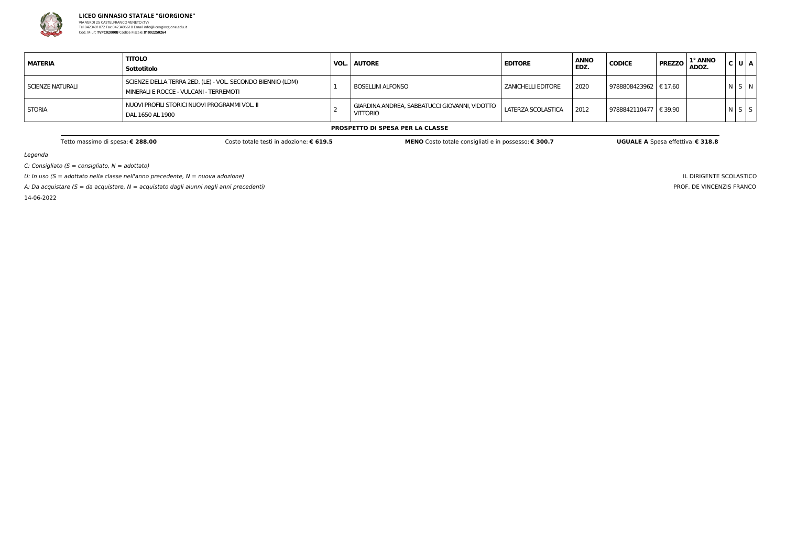

Legenda

 $C:$  Consigliato (S = consigliato,  $N =$  adottato)

U: In uso ( $S =$  adottato nella classe nell'anno precedente,  $N =$  nuova adozione)

A: Da acquistare (S = da acquistare,  $N =$  acquistato dagli alunni negli anni precedenti)

14-06-2022

IL DIRIGENTE SCOLASTICO PROF. DE VINCENZIS FRANCO

| <b>MATERIA</b>   | <b>TITOLO</b><br>Sottotitolo                                                                         | VOL. | <b>AUTORE</b>                                                    | <b>EDITORE</b>       | <b>ANNO</b><br>EDZ. | <b>CODICE</b>           | 1° ANNO<br><b>PREZZO</b><br>ADOZ. | C U A       |  |
|------------------|------------------------------------------------------------------------------------------------------|------|------------------------------------------------------------------|----------------------|---------------------|-------------------------|-----------------------------------|-------------|--|
| SCIENZE NATURALI | SCIENZE DELLA TERRA 2ED. (LE) - VOL. SECONDO BIENNIO (LDM)<br>MINERALI E ROCCE - VULCANI - TERREMOTI |      | BOSELLINI ALFONSO                                                | I ZANICHELLI EDITORE | 2020                | 9788808423962   € 17.60 |                                   | N S N       |  |
| <b>STORIA</b>    | NUOVI PROFILI STORICI NUOVI PROGRAMMI VOL. II<br>DAL 1650 AL 1900                                    |      | GIARDINA ANDREA, SABBATUCCI GIOVANNI, VIDOTTO<br><b>VITTORIO</b> | LATERZA SCOLASTICA   | 2012                | 9788842110477   € 39.90 |                                   | $N$ $S$ $S$ |  |

#### **PROSPETTO DI SPESA PER LA CLASSE**

Tetto massimo di spesa: € 288.00 Costo totale testi in adozione: € 619.5 MENO Costo totale consigliati e in possesso: € 300.7 UGUALE A Spesa effettiva: € 318.8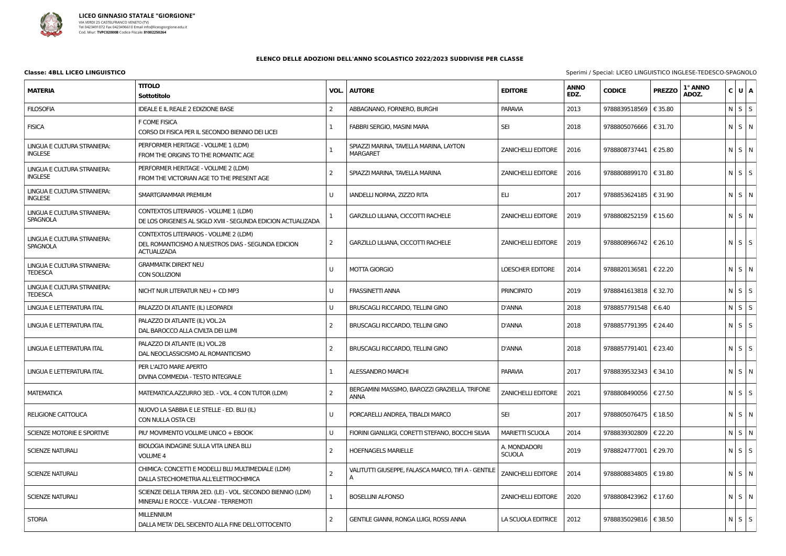

| <b>MATERIA</b>                                | <b>TITOLO</b><br><b>Sottotitolo</b>                                                                               | VOL.           | <b>AUTORE</b>                                                | <b>EDITORE</b>                | <b>ANNO</b><br>EDZ. | <b>CODICE</b>           | <b>PREZZO</b> | 1° ANNO<br>ADOZ. | $C$ U $A$   |
|-----------------------------------------------|-------------------------------------------------------------------------------------------------------------------|----------------|--------------------------------------------------------------|-------------------------------|---------------------|-------------------------|---------------|------------------|-------------|
| <b>FILOSOFIA</b>                              | <b>IDEALE E IL REALE 2 EDIZIONE BASE</b>                                                                          | 2              | ABBAGNANO, FORNERO, BURGHI                                   | <b>PARAVIA</b>                | 2013                | 9788839518569   € 35.80 |               |                  | $N$ $S$ $S$ |
| <b>FISICA</b>                                 | F COME FISICA<br>CORSO DI FISICA PER IL SECONDO BIENNIO DEI LICEI                                                 |                | FABBRI SERGIO, MASINI MARA                                   | <b>SEI</b>                    | 2018                | 9788805076666   € 31.70 |               |                  | N S N       |
| LINGUA E CULTURA STRANIERA:<br><b>INGLESE</b> | PERFORMER HERITAGE - VOLUME 1 (LDM)<br>FROM THE ORIGINS TO THE ROMANTIC AGE                                       |                | SPIAZZI MARINA, TAVELLA MARINA, LAYTON<br><b>MARGARET</b>    | <b>ZANICHELLI EDITORE</b>     | 2016                | 9788808737441   € 25.80 |               |                  | $N$ $S$ $N$ |
| LINGUA E CULTURA STRANIERA:<br><b>INGLESE</b> | PERFORMER HERITAGE - VOLUME 2 (LDM)<br>FROM THE VICTORIAN AGE TO THE PRESENT AGE                                  |                | SPIAZZI MARINA, TAVELLA MARINA                               | <b>ZANICHELLI EDITORE</b>     | 2016                | 9788808899170   € 31.80 |               |                  | $N$ $S$ $S$ |
| LINGUA E CULTURA STRANIERA:<br><b>INGLESE</b> | SMARTGRAMMAR PREMIUM                                                                                              | U              | IANDELLI NORMA, ZIZZO RITA                                   | ELI.                          | 2017                | 9788853624185   € 31.90 |               |                  | N S N       |
| LINGUA E CULTURA STRANIERA:<br>SPAGNOLA       | CONTEXTOS LITERARIOS - VOLUME 1 (LDM)<br>DE LOS ORIGENES AL SIGLO XVIII - SEGUNDA EDICION ACTUALIZADA             |                | GARZILLO LILIANA, CICCOTTI RACHELE                           | <b>ZANICHELLI EDITORE</b>     | 2019                | 9788808252159   € 15.60 |               |                  | N S N       |
| LINGUA E CULTURA STRANIERA:<br>SPAGNOLA       | CONTEXTOS LITERARIOS - VOLUME 2 (LDM)<br>DEL ROMANTICISMO A NUESTROS DIAS - SEGUNDA EDICION<br><b>ACTUALIZADA</b> | 2              | GARZILLO LILIANA, CICCOTTI RACHELE                           | <b>ZANICHELLI EDITORE</b>     | 2019                | 9788808966742   € 26.10 |               |                  | $N$ $S$ $S$ |
| LINGUA E CULTURA STRANIERA:<br><b>TEDESCA</b> | <b>GRAMMATIK DIREKT NEU</b><br>CON SOLUZIONI                                                                      |                | <b>MOTTA GIORGIO</b>                                         | <b>LOESCHER EDITORE</b>       | 2014                | 9788820136581   € 22.20 |               |                  | N S N       |
| LINGUA E CULTURA STRANIERA:<br><b>TEDESCA</b> | NICHT NUR LITERATUR NEU + CD MP3                                                                                  | $\mathbf{U}$   | <b>FRASSINETTI ANNA</b>                                      | <b>PRINCIPATO</b>             | 2019                | 9788841613818   € 32.70 |               |                  | $N$ S $S$   |
| LINGUA E LETTERATURA ITAL                     | PALAZZO DI ATLANTE (IL) LEOPARDI                                                                                  | U              | BRUSCAGLI RICCARDO, TELLINI GINO                             | <b>D'ANNA</b>                 | 2018                | 9788857791548   € 6.40  |               |                  | $N$ $S$ $S$ |
| LINGUA E LETTERATURA ITAL                     | PALAZZO DI ATLANTE (IL) VOL.2A<br>DAL BAROCCO ALLA CIVILTA DEI LUMI                                               | 2              | BRUSCAGLI RICCARDO, TELLINI GINO                             | D'ANNA                        | 2018                | 9788857791395   € 24.40 |               |                  | $N$ $S$ $S$ |
| LINGUA E LETTERATURA ITAL                     | PALAZZO DI ATLANTE (IL) VOL.2B<br>DAL NEOCLASSICISMO AL ROMANTICISMO                                              | 2              | BRUSCAGLI RICCARDO, TELLINI GINO                             | <b>D'ANNA</b>                 | 2018                | 9788857791401   € 23.40 |               |                  | $N$ $S$ $S$ |
| LINGUA E LETTERATURA ITAL                     | PER L'ALTO MARE APERTO<br>DIVINA COMMEDIA - TESTO INTEGRALE                                                       |                | <b>ALESSANDRO MARCHI</b>                                     | <b>PARAVIA</b>                | 2017                | 9788839532343   € 34.10 |               |                  | N S N       |
| <b>MATEMATICA</b>                             | MATEMATICA.AZZURRO 3ED. - VOL. 4 CON TUTOR (LDM)                                                                  |                | BERGAMINI MASSIMO, BAROZZI GRAZIELLA, TRIFONE<br><b>ANNA</b> | <b>ZANICHELLI EDITORE</b>     | 2021                | 9788808490056   € 27.50 |               |                  | $N$ $S$ $S$ |
| <b>RELIGIONE CATTOLICA</b>                    | NUOVO LA SABBIA E LE STELLE - ED. BLU (IL)<br>CON NULLA OSTA CEI                                                  |                | PORCARELLI ANDREA, TIBALDI MARCO                             | <b>SEI</b>                    | 2017                | 9788805076475   € 18.50 |               |                  | $N$ $S$ $N$ |
| SCIENZE MOTORIE E SPORTIVE                    | PIU' MOVIMENTO VOLUME UNICO + EBOOK                                                                               |                | FIORINI GIANLUIGI, CORETTI STEFANO, BOCCHI SILVIA            | <b>MARIETTI SCUOLA</b>        | 2014                | 9788839302809   € 22.20 |               |                  | $N$ $S$ $N$ |
| SCIENZE NATURALI                              | BIOLOGIA INDAGINE SULLA VITA LINEA BLU<br><b>VOLUME 4</b>                                                         | $\mathcal{P}$  | <b>HOEFNAGELS MARIELLE</b>                                   | A. MONDADORI<br><b>SCUOLA</b> | 2019                | 9788824777001   € 29.70 |               |                  | $N$ $S$ $S$ |
| <b>SCIENZE NATURALI</b>                       | CHIMICA: CONCETTI E MODELLI BLU MULTIMEDIALE (LDM)<br>DALLA STECHIOMETRIA ALL'ELETTROCHIMICA                      | $\overline{2}$ | VALITUTTI GIUSEPPE, FALASCA MARCO, TIFI A - GENTILE<br>A     | <b>ZANICHELLI EDITORE</b>     | 2014                | 9788808834805   € 19.80 |               |                  | $N$ $S$ $N$ |
| <b>SCIENZE NATURALI</b>                       | SCIENZE DELLA TERRA 2ED. (LE) - VOL. SECONDO BIENNIO (LDM)<br>MINERALI E ROCCE - VULCANI - TERREMOTI              |                | <b>BOSELLINI ALFONSO</b>                                     | <b>ZANICHELLI EDITORE</b>     | 2020                | 9788808423962   € 17.60 |               |                  | $N$ S $N$   |
| <b>STORIA</b>                                 | <b>MILLENNIUM</b><br>DALLA META' DEL SEICENTO ALLA FINE DELL'OTTOCENTO                                            | $\mathcal{P}$  | GENTILE GIANNI, RONGA LUIGI, ROSSI ANNA                      | LA SCUOLA EDITRICE            | 2012                | 9788835029816   € 38.50 |               |                  | $N$ $S$ $S$ |

**Classe: 4BLL LICEO LINGUISTICO CONSUMISTICO INGLESE-TEDESCO-SPAGNOLO**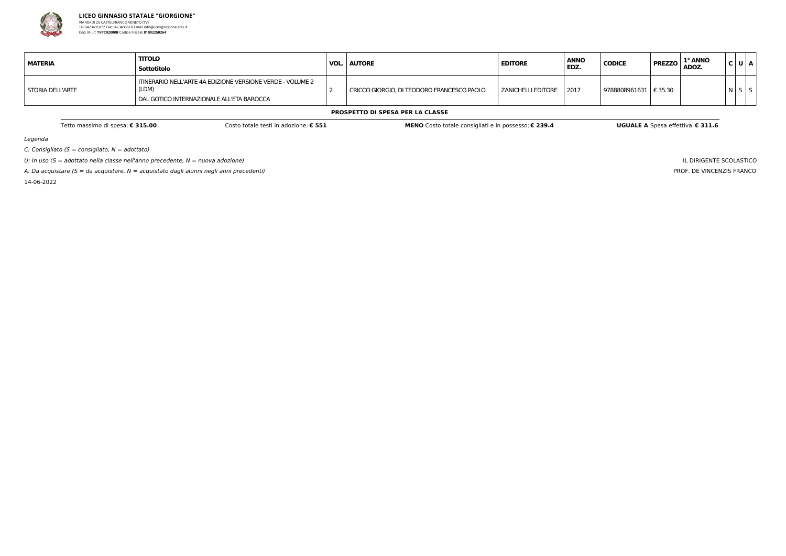

Legenda

C: Consigliato ( $S =$  consigliato,  $N =$  adottato)

U: In uso ( $S =$  adottato nella classe nell'anno precedente,  $N =$  nuova adozione)

A: Da acquistare ( $S = da$  acquistare,  $N = ac$ quistato dagli alunni negli anni precedenti)

14-06-2022

IL DIRIGENTE SCOLASTICO PROF. DE VINCENZIS FRANCO

| MATERIA          | <b>TITOLO</b><br>Sottotitolo                                                                                     | <b>VOL. AUTORE</b>                         | <b>EDITORE</b>            | <b>ANNO</b><br>EDZ. | <b>CODICE</b>           | 1° ANNO<br>$\overline{P}$ PREZZO $\overline{A}$ ADOZ. | C U A |  |
|------------------|------------------------------------------------------------------------------------------------------------------|--------------------------------------------|---------------------------|---------------------|-------------------------|-------------------------------------------------------|-------|--|
| STORIA DELL'ARTE | ITINERARIO NELL'ARTE 4A EDIZIONE VERSIONE VERDE - VOLUME 2<br>(LDM)<br>DAL GOTICO INTERNAZIONALE ALL'ETA BAROCCA | CRICCO GIORGIO, DI TEODORO FRANCESCO PAOLO | ZANICHELLI EDITORE   2017 |                     | 9788808961631   € 35.30 |                                                       |       |  |

### **PROSPETTO DI SPESA PER LA CLASSE**

Tetto massimo di spesa: € 315.00 Costo MENO Costo totale testi in adozione: € 551 MENO Costo totale consigliati e in possesso: € 239.4 UGUALE A Spesa effettiva: € 311.6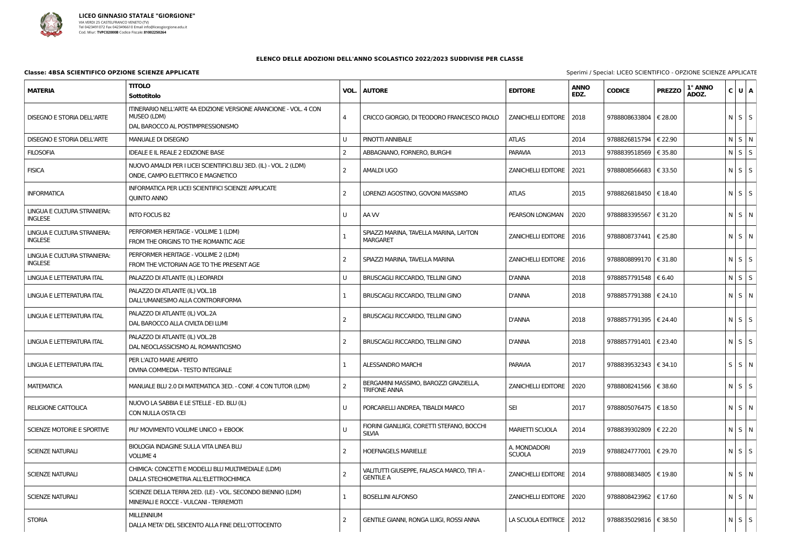

### **Classe: 4BSA SCIENTIFICO OPZIONE SCIENZE APPLICATE** Sperimi / Special: LICEO Sperimi / Special: LICEO Sperimi / Special: LICEO Sperimi / Special: LICEO Special: LICEO Special: LICEO Special: LICEO Special: LICEO Special:

| <b>MATERIA</b>                                | <b>TITOLO</b><br>Sottotitolo                                                                                         | VOL.           | <b>AUTORE</b>                                                   | <b>EDITORE</b>                | <b>ANNO</b><br>EDZ. | <b>CODICE</b>           | <b>PREZZO</b> | 1° ANNO<br>ADOZ. | C U A             |  |
|-----------------------------------------------|----------------------------------------------------------------------------------------------------------------------|----------------|-----------------------------------------------------------------|-------------------------------|---------------------|-------------------------|---------------|------------------|-------------------|--|
| <b>DISEGNO E STORIA DELL'ARTE</b>             | ITINERARIO NELL'ARTE 4A EDIZIONE VERSIONE ARANCIONE - VOL. 4 CON<br>MUSEO (LDM)<br>DAL BAROCCO AL POSTIMPRESSIONISMO | $\overline{4}$ | CRICCO GIORGIO, DI TEODORO FRANCESCO PAOLO                      | <b>ZANICHELLI EDITORE</b>     | 2018                | 9788808633804           | € 28.00       |                  | $N$ $S$ $S$       |  |
| <b>DISEGNO E STORIA DELL'ARTE</b>             | MANUALE DI DISEGNO                                                                                                   |                | PINOTTI ANNIBALE                                                | <b>ATLAS</b>                  | 2014                | 9788826815794   € 22.90 |               |                  | $N$ $S$ $N$       |  |
| <b>FILOSOFIA</b>                              | <b>IDEALE E IL REALE 2 EDIZIONE BASE</b>                                                                             | 2              | ABBAGNANO, FORNERO, BURGHI                                      | <b>PARAVIA</b>                | 2013                | 9788839518569   € 35.80 |               |                  | $N$ $S$ $S$       |  |
| <b>FISICA</b>                                 | NUOVO AMALDI PER I LICEI SCIENTIFICI.BLU 3ED. (IL) - VOL. 2 (LDM)<br>ONDE, CAMPO ELETTRICO E MAGNETICO               | $\overline{2}$ | <b>AMALDI UGO</b>                                               | <b>ZANICHELLI EDITORE</b>     | 2021                | 9788808566683   € 33.50 |               |                  | $N$ $S$ $S$       |  |
| <b>INFORMATICA</b>                            | INFORMATICA PER LICEI SCIENTIFICI SCIENZE APPLICATE<br>QUINTO ANNO                                                   | 2              | LORENZI AGOSTINO, GOVONI MASSIMO                                | <b>ATLAS</b>                  | 2015                | 9788826818450   € 18.40 |               |                  | $N$ S $S$         |  |
| LINGUA E CULTURA STRANIERA:<br><b>INGLESE</b> | <b>INTO FOCUS B2</b>                                                                                                 |                | AA W                                                            | PEARSON LONGMAN               | 2020                | 9788883395567   € 31.20 |               |                  | N S N             |  |
| LINGUA E CULTURA STRANIERA:<br><b>INGLESE</b> | PERFORMER HERITAGE - VOLUME 1 (LDM)<br>FROM THE ORIGINS TO THE ROMANTIC AGE                                          |                | SPIAZZI MARINA, TAVELLA MARINA, LAYTON<br><b>MARGARET</b>       | <b>ZANICHELLI EDITORE</b>     | 2016                | 9788808737441   € 25.80 |               |                  | $N$ $S$ $N$       |  |
| LINGUA E CULTURA STRANIERA:<br><b>INGLESE</b> | PERFORMER HERITAGE - VOLUME 2 (LDM)<br>FROM THE VICTORIAN AGE TO THE PRESENT AGE                                     | -2             | SPIAZZI MARINA, TAVELLA MARINA                                  | ZANICHELLI EDITORE            | 2016                | 9788808899170   € 31.80 |               |                  | $N$ $S$ $S$       |  |
| LINGUA E LETTERATURA ITAL                     | PALAZZO DI ATLANTE (IL) LEOPARDI                                                                                     |                | BRUSCAGLI RICCARDO, TELLINI GINO                                | <b>D'ANNA</b>                 | 2018                | 9788857791548   € 6.40  |               |                  | N S S             |  |
| LINGUA E LETTERATURA ITAL                     | PALAZZO DI ATLANTE (IL) VOL.1B<br>DALL'UMANESIMO ALLA CONTRORIFORMA                                                  |                | <b>BRUSCAGLI RICCARDO, TELLINI GINO</b>                         | <b>D'ANNA</b>                 | 2018                | 9788857791388   € 24.10 |               |                  | $N$ $S$ $N$       |  |
| LINGUA E LETTERATURA ITAL                     | PALAZZO DI ATLANTE (IL) VOL.2A<br>DAL BAROCCO ALLA CIVILTA DEI LUMI                                                  | $\overline{2}$ | BRUSCAGLI RICCARDO, TELLINI GINO                                | <b>D'ANNA</b>                 | 2018                | 9788857791395   € 24.40 |               |                  | $N$ $S$ $S$       |  |
| LINGUA E LETTERATURA ITAL                     | PALAZZO DI ATLANTE (IL) VOL.2B<br>DAL NEOCLASSICISMO AL ROMANTICISMO                                                 | 2              | <b>BRUSCAGLI RICCARDO, TELLINI GINO</b>                         | <b>D'ANNA</b>                 | 2018                | 9788857791401   € 23.40 |               |                  | $N$ $S$ $S$       |  |
| LINGUA E LETTERATURA ITAL                     | PER L'ALTO MARE APERTO<br>DIVINA COMMEDIA - TESTO INTEGRALE                                                          |                | <b>ALESSANDRO MARCHI</b>                                        | <b>PARAVIA</b>                | 2017                | 9788839532343   € 34.10 |               |                  | S S N             |  |
| <b>MATEMATICA</b>                             | MANUALE BLU 2.0 DI MATEMATICA 3ED. - CONF. 4 CON TUTOR (LDM)                                                         | -2             | BERGAMINI MASSIMO, BAROZZI GRAZIELLA,<br><b>TRIFONE ANNA</b>    | ZANICHELLI EDITORE   2020     |                     | 9788808241566   € 38.60 |               |                  | $N$ $S$ $S$       |  |
| <b>RELIGIONE CATTOLICA</b>                    | NUOVO LA SABBIA E LE STELLE - ED. BLU (IL)<br>CON NULLA OSTA CEI                                                     |                | PORCARELLI ANDREA, TIBALDI MARCO                                | <b>SEI</b>                    | 2017                | 9788805076475   € 18.50 |               |                  | NSN               |  |
| SCIENZE MOTORIE E SPORTIVE                    | PIU' MOVIMENTO VOLUME UNICO + EBOOK                                                                                  |                | FIORINI GIANLUIGI, CORETTI STEFANO, BOCCHI<br><b>SILVIA</b>     | <b>MARIETTI SCUOLA</b>        | 2014                | 9788839302809   € 22.20 |               |                  | NSN               |  |
| <b>SCIENZE NATURALI</b>                       | BIOLOGIA INDAGINE SULLA VITA LINEA BLU<br><b>VOLUME 4</b>                                                            | $\overline{2}$ | <b>HOEFNAGELS MARIELLE</b>                                      | A. MONDADORI<br><b>SCUOLA</b> | 2019                | 9788824777001   € 29.70 |               |                  | $N$ $S$ $S$       |  |
| <b>SCIENZE NATURALI</b>                       | CHIMICA: CONCETTI E MODELLI BLU MULTIMEDIALE (LDM)<br>DALLA STECHIOMETRIA ALL'ELETTROCHIMICA                         | -2             | VALITUTTI GIUSEPPE, FALASCA MARCO, TIFI A -<br><b>GENTILE A</b> | <b>ZANICHELLI EDITORE</b>     | 2014                | 9788808834805   € 19.80 |               |                  | $N$ $S$ $N$       |  |
| <b>SCIENZE NATURALI</b>                       | SCIENZE DELLA TERRA 2ED. (LE) - VOL. SECONDO BIENNIO (LDM)<br>MINERALI E ROCCE - VULCANI - TERREMOTI                 |                | <b>BOSELLINI ALFONSO</b>                                        | ZANICHELLI EDITORE   2020     |                     | 9788808423962   € 17.60 |               |                  | NSN               |  |
| <b>STORIA</b>                                 | <b>MILLENNIUM</b><br>DALLA META' DEL SEICENTO ALLA FINE DELL'OTTOCENTO                                               | $\overline{2}$ | GENTILE GIANNI, RONGA LUIGI, ROSSI ANNA                         | LA SCUOLA EDITRICE            | 2012                | 9788835029816   € 38.50 |               |                  | $N \mid S \mid S$ |  |

|  | Special: LICEO SCIENTIFICO - OPZIONE SCIENZE APPLICATE |  |  |
|--|--------------------------------------------------------|--|--|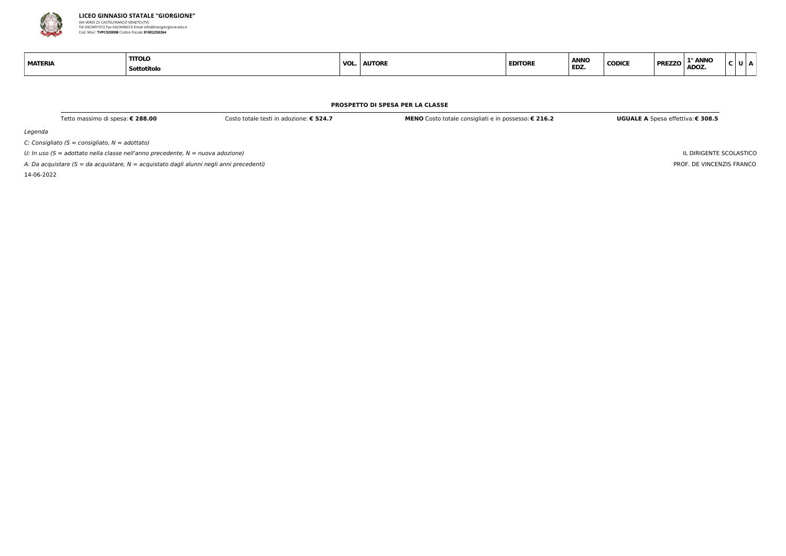

Legenda

 $C:$  Consigliato (S = consigliato,  $N =$  adottato)

U: In uso ( $S =$  adottato nella classe nell'anno precedente,  $N =$  nuova adozione)

A: Da acquistare ( $S = da$  acquistare,  $N = ac$ quistato dagli alunni negli anni precedenti)

14-06-2022

| ונוי<br>ľ<br>I<br>M. |
|----------------------|
|----------------------|

IL DIRIGENTE SCOLASTICO PROF. DE VINCENZIS FRANCO

| <b>MATERIA</b> | тоц<br>Sottotitolo | VOL. | <b>AUTORE</b> | <b>EDITORE</b><br>------- | <b>ANNO</b><br><b>ED2</b> |
|----------------|--------------------|------|---------------|---------------------------|---------------------------|
|----------------|--------------------|------|---------------|---------------------------|---------------------------|

#### **PROSPETTO DI SPESA PER LA CLASSE**

Tetto massimo di spesa: € 288.00 Costo totale testi in adozione: € 524.7 MENO Costo totale consigliati e in possesso: € 216.2 UGUALE A Spesa effettiva: € 308.5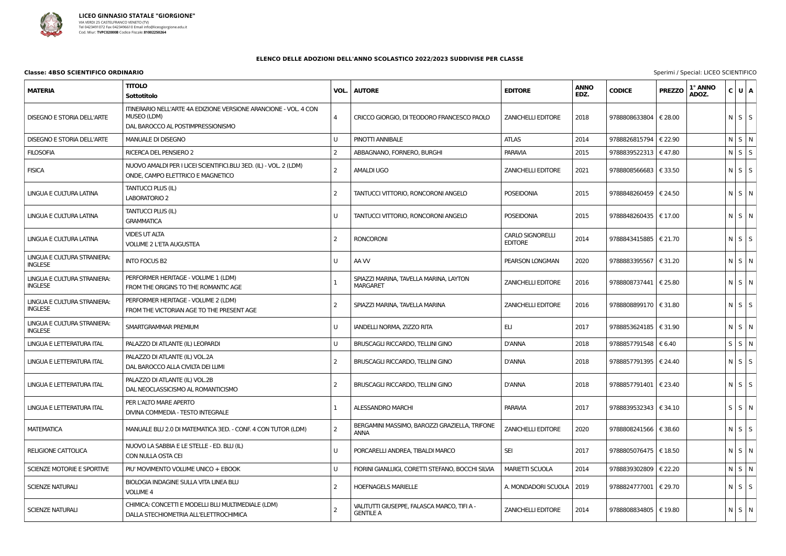

# **Classe: 4BSO SCIENTIFICO ORDINARIO** Sperimi / Special: LICEO Sperimi / Special: LICEO Sperimi / Special: LICEO SPERIMI / Special: LICEO SPERIMI / Special: LICEO SPERIMI / Special: LICEO SPERIMI / Special: LICEO SPERIMI /

| <b>MATERIA</b>                                | <b>TITOLO</b><br>Sottotitolo                                                                                         | VOL. | <b>AUTORE</b>                                                   | <b>EDITORE</b>                            | <b>ANNO</b><br>EDZ. | <b>CODICE</b>             | <b>PREZZO</b> | 1° ANNO<br>ADOZ. | C U A             |  |
|-----------------------------------------------|----------------------------------------------------------------------------------------------------------------------|------|-----------------------------------------------------------------|-------------------------------------------|---------------------|---------------------------|---------------|------------------|-------------------|--|
| <b>DISEGNO E STORIA DELL'ARTE</b>             | ITINERARIO NELL'ARTE 4A EDIZIONE VERSIONE ARANCIONE - VOL. 4 CON<br>MUSEO (LDM)<br>DAL BAROCCO AL POSTIMPRESSIONISMO | 4    | CRICCO GIORGIO, DI TEODORO FRANCESCO PAOLO                      | <b>ZANICHELLI EDITORE</b>                 | 2018                | 9788808633804   € 28.00   |               |                  | $N$ $S$ $S$       |  |
| <b>DISEGNO E STORIA DELL'ARTE</b>             | <b>MANUALE DI DISEGNO</b>                                                                                            | U    | PINOTTI ANNIBALE                                                | <b>ATLAS</b>                              | 2014                | 9788826815794   € 22.90   |               |                  | NSN               |  |
| <b>FILOSOFIA</b>                              | RICERCA DEL PENSIERO 2                                                                                               | 2    | ABBAGNANO, FORNERO, BURGHI                                      | <b>PARAVIA</b>                            | 2015                | 9788839522313   € 47.80   |               |                  | $N$ $S$ $S$       |  |
| <b>FISICA</b>                                 | NUOVO AMALDI PER I LICEI SCIENTIFICI.BLU 3ED. (IL) - VOL. 2 (LDM)<br>ONDE, CAMPO ELETTRICO E MAGNETICO               | 2    | <b>AMALDI UGO</b>                                               | <b>ZANICHELLI EDITORE</b>                 | 2021                | 9788808566683   € 33.50   |               |                  | $N$ $S$ $S$       |  |
| LINGUA E CULTURA LATINA                       | <b>TANTUCCI PLUS (IL)</b><br>LABORATORIO 2                                                                           | 2    | TANTUCCI VITTORIO, RONCORONI ANGELO                             | <b>POSEIDONIA</b>                         | 2015                | 9788848260459 $\in$ 24.50 |               |                  | $N$ $S$ $N$       |  |
| LINGUA E CULTURA LATINA                       | <b>TANTUCCI PLUS (IL)</b><br><b>GRAMMATICA</b>                                                                       | U    | TANTUCCI VITTORIO, RONCORONI ANGELO                             | <b>POSEIDONIA</b>                         | 2015                | 9788848260435   € 17.00   |               |                  | $N$ $S$ $N$       |  |
| LINGUA E CULTURA LATINA                       | <b>VIDES UT ALTA</b><br>VOLUME 2 L'ETA AUGUSTEA                                                                      | -2   | <b>RONCORONI</b>                                                | <b>CARLO SIGNORELLI</b><br><b>EDITORE</b> | 2014                | 9788843415885   € 21.70   |               |                  | $N$ $S$ $S$       |  |
| LINGUA E CULTURA STRANIERA:<br><b>INGLESE</b> | <b>INTO FOCUS B2</b>                                                                                                 | U    | AA W                                                            | PEARSON LONGMAN                           | 2020                | 9788883395567   € 31.20   |               |                  | $N$ $S$ $N$       |  |
| LINGUA E CULTURA STRANIERA:<br><b>INGLESE</b> | PERFORMER HERITAGE - VOLUME 1 (LDM)<br>FROM THE ORIGINS TO THE ROMANTIC AGE                                          |      | SPIAZZI MARINA, TAVELLA MARINA, LAYTON<br><b>MARGARET</b>       | <b>ZANICHELLI EDITORE</b>                 | 2016                | 9788808737441   € 25.80   |               |                  | $N$ $S$ $N$       |  |
| LINGUA E CULTURA STRANIERA:<br><b>INGLESE</b> | PERFORMER HERITAGE - VOLUME 2 (LDM)<br>FROM THE VICTORIAN AGE TO THE PRESENT AGE                                     |      | SPIAZZI MARINA, TAVELLA MARINA                                  | <b>ZANICHELLI EDITORE</b>                 | 2016                | 9788808899170   € 31.80   |               |                  | $N$ $S$ $S$       |  |
| LINGUA E CULTURA STRANIERA:<br><b>INGLESE</b> | SMARTGRAMMAR PREMIUM                                                                                                 | U    | IANDELLI NORMA, ZIZZO RITA                                      | ELI                                       | 2017                | 9788853624185 $\in$ 31.90 |               |                  | $N \mid S \mid N$ |  |
| LINGUA E LETTERATURA ITAL                     | PALAZZO DI ATLANTE (IL) LEOPARDI                                                                                     | U    | BRUSCAGLI RICCARDO, TELLINI GINO                                | <b>D'ANNA</b>                             | 2018                | 9788857791548   € 6.40    |               |                  | S S N             |  |
| <b>LINGUA E LETTERATURA ITAL</b>              | PALAZZO DI ATLANTE (IL) VOL.2A<br>DAL BAROCCO ALLA CIVILTA DEI LUMI                                                  | -2   | BRUSCAGLI RICCARDO, TELLINI GINO                                | <b>D'ANNA</b>                             | 2018                | 9788857791395   € 24.40   |               |                  | $N$ $S$ $S$       |  |
| LINGUA E LETTERATURA ITAL                     | PALAZZO DI ATLANTE (IL) VOL.2B<br>DAL NEOCLASSICISMO AL ROMANTICISMO                                                 | -2   | BRUSCAGLI RICCARDO, TELLINI GINO                                | <b>D'ANNA</b>                             | 2018                | 9788857791401   € 23.40   |               |                  | $N$ $S$ $S$       |  |
| LINGUA E LETTERATURA ITAL                     | PER L'ALTO MARE APERTO<br>DIVINA COMMEDIA - TESTO INTEGRALE                                                          |      | <b>ALESSANDRO MARCHI</b>                                        | <b>PARAVIA</b>                            | 2017                | 9788839532343 $\in$ 34.10 |               |                  | $S \mid S \mid N$ |  |
| <b>MATEMATICA</b>                             | MANUALE BLU 2.0 DI MATEMATICA 3ED. - CONF. 4 CON TUTOR (LDM)                                                         | 2    | BERGAMINI MASSIMO, BAROZZI GRAZIELLA, TRIFONE<br><b>ANNA</b>    | <b>ZANICHELLI EDITORE</b>                 | 2020                | 9788808241566   € 38.60   |               |                  | $N$ $S$ $S$       |  |
| <b>RELIGIONE CATTOLICA</b>                    | NUOVO LA SABBIA E LE STELLE - ED. BLU (IL)<br>CON NULLA OSTA CEI                                                     |      | PORCARELLI ANDREA, TIBALDI MARCO                                | <b>SEI</b>                                | 2017                | 9788805076475   € 18.50   |               |                  | $N$ S $N$         |  |
| SCIENZE MOTORIE E SPORTIVE                    | PIU' MOVIMENTO VOLUME UNICO + EBOOK                                                                                  | U    | FIORINI GIANLUIGI, CORETTI STEFANO, BOCCHI SILVIA               | <b>MARIETTI SCUOLA</b>                    | 2014                | 9788839302809   € 22.20   |               |                  | N S N             |  |
| <b>SCIENZE NATURALI</b>                       | BIOLOGIA INDAGINE SULLA VITA LINEA BLU<br><b>VOLUME 4</b>                                                            | 2    | <b>HOEFNAGELS MARIELLE</b>                                      | A. MONDADORI SCUOLA                       | 2019                | 9788824777001   € 29.70   |               |                  | $N \mid S \mid S$ |  |
| <b>SCIENZE NATURALI</b>                       | CHIMICA: CONCETTI E MODELLI BLU MULTIMEDIALE (LDM)<br>DALLA STECHIOMETRIA ALL'ELETTROCHIMICA                         |      | VALITUTTI GIUSEPPE, FALASCA MARCO, TIFI A -<br><b>GENTILE A</b> | <b>ZANICHELLI EDITORE</b>                 | 2014                | 9788808834805   € 19.80   |               |                  | $N$ $S$ $N$       |  |

| Sperimi / Special: LICEO SCIENTIFICO |
|--------------------------------------|
|--------------------------------------|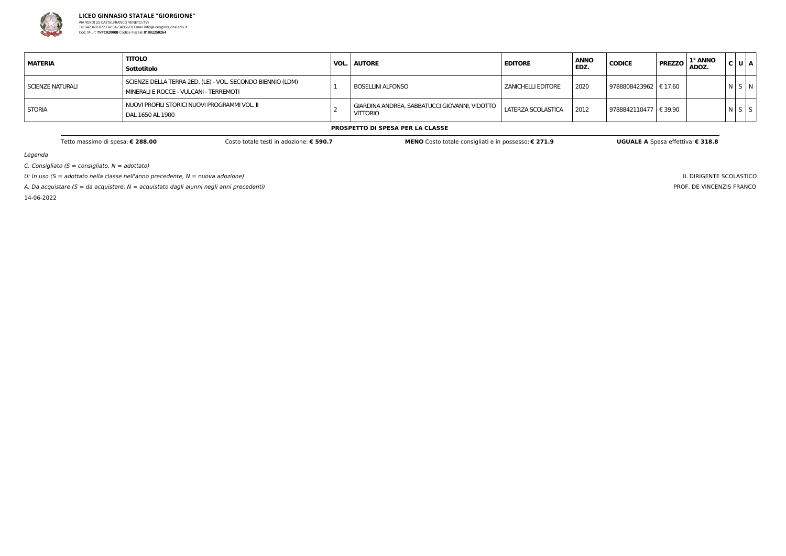

Legenda

 $C:$  Consigliato (S = consigliato,  $N =$  adottato)

U: In uso ( $S =$  adottato nella classe nell'anno precedente,  $N =$  nuova adozione)

A: Da acquistare (S = da acquistare,  $N =$  acquistato dagli alunni negli anni precedenti)

14-06-2022

IL DIRIGENTE SCOLASTICO PROF. DE VINCENZIS FRANCO

| <b>MATERIA</b>   | <b>TITOLO</b><br>Sottotitolo                                                                         | VOL. | <b>AUTORE</b>                                                    | <b>EDITORE</b>       | <b>ANNO</b><br>EDZ. | <b>CODICE</b>           | 1° ANNO<br><b>PREZZO</b><br>ADOZ. | C U A       |  |
|------------------|------------------------------------------------------------------------------------------------------|------|------------------------------------------------------------------|----------------------|---------------------|-------------------------|-----------------------------------|-------------|--|
| SCIENZE NATURALI | SCIENZE DELLA TERRA 2ED. (LE) - VOL. SECONDO BIENNIO (LDM)<br>MINERALI E ROCCE - VULCANI - TERREMOTI |      | BOSELLINI ALFONSO                                                | I ZANICHELLI EDITORE | 2020                | 9788808423962   € 17.60 |                                   | N S N       |  |
| <b>STORIA</b>    | NUOVI PROFILI STORICI NUOVI PROGRAMMI VOL. II<br>DAL 1650 AL 1900                                    |      | GIARDINA ANDREA, SABBATUCCI GIOVANNI, VIDOTTO<br><b>VITTORIO</b> | LATERZA SCOLASTICA   | 2012                | 9788842110477   € 39.90 |                                   | $N$ $S$ $S$ |  |

**PROSPETTO DI SPESA PER LA CLASSE**

Tetto massimo di spesa: € 288.00 Costo totale testi in adozione: € 590.7 MENO Costo totale consigliati e in possesso: € 271.9 UGUALE A Spesa effettiva: € 318.8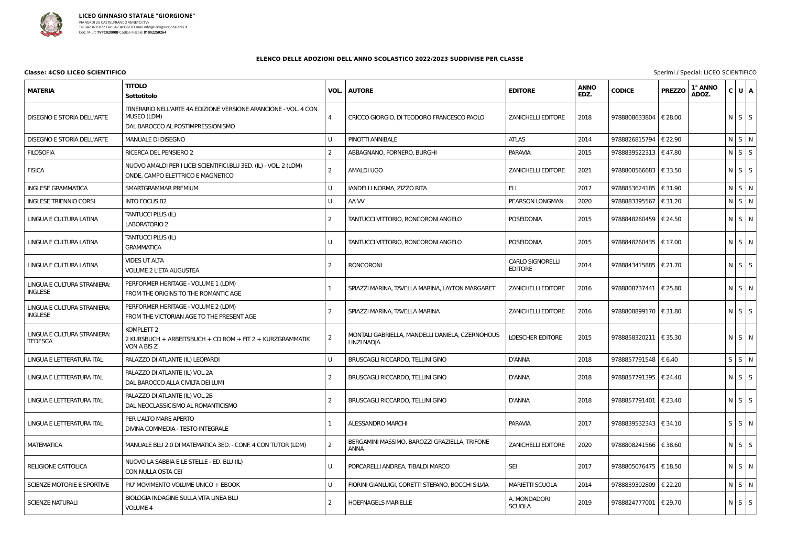

### **Classe: 4CSO LICEO SCIENTIFICO** Special: LICEO SCIENTIFICO

| <b>MATERIA</b>                                | <b>TITOLO</b><br>Sottotitolo                                                                                         | VOL.           | <b>AUTORE</b>                                                  | <b>EDITORE</b>                            | <b>ANNO</b><br>EDZ. | <b>CODICE</b>           | <b>PREZZO</b>    | 1° ANNO<br>ADOZ. | C U A             |  |
|-----------------------------------------------|----------------------------------------------------------------------------------------------------------------------|----------------|----------------------------------------------------------------|-------------------------------------------|---------------------|-------------------------|------------------|------------------|-------------------|--|
| <b>DISEGNO E STORIA DELL'ARTE</b>             | ITINERARIO NELL'ARTE 4A EDIZIONE VERSIONE ARANCIONE - VOL. 4 CON<br>MUSEO (LDM)<br>DAL BAROCCO AL POSTIMPRESSIONISMO | $\overline{4}$ | CRICCO GIORGIO, DI TEODORO FRANCESCO PAOLO                     | <b>ZANICHELLI EDITORE</b>                 | 2018                | 9788808633804   € 28.00 |                  |                  | $N$ $S$ $S$       |  |
| <b>DISEGNO E STORIA DELL'ARTE</b>             | MANUALE DI DISEGNO                                                                                                   |                | PINOTTI ANNIBALE                                               | <b>ATLAS</b>                              | 2014                | 9788826815794           | € 22.90          |                  | $N$ $S$ $N$       |  |
| <b>FILOSOFIA</b>                              | RICERCA DEL PENSIERO 2                                                                                               | 2              | ABBAGNANO, FORNERO, BURGHI                                     | <b>PARAVIA</b>                            | 2015                | 9788839522313           | €47.80           |                  | $N$ $S$ $S$       |  |
| <b>FISICA</b>                                 | NUOVO AMALDI PER I LICEI SCIENTIFICI.BLU 3ED. (IL) - VOL. 2 (LDM)<br>ONDE, CAMPO ELETTRICO E MAGNETICO               | $\overline{2}$ | <b>AMALDI UGO</b>                                              | <b>ZANICHELLI EDITORE</b>                 | 2021                | 9788808566683   € 33.50 |                  |                  | $N$ $S$ $S$       |  |
| <b>INGLESE GRAMMATICA</b>                     | SMARTGRAMMAR PREMIUM                                                                                                 |                | IANDELLI NORMA, ZIZZO RITA                                     | <b>ELI</b>                                | 2017                | 9788853624185           | $\epsilon$ 31.90 |                  | $N$ $S$ $N$       |  |
| <b>INGLESE TRIENNIO CORSI</b>                 | <b>INTO FOCUS B2</b>                                                                                                 | U              | AA W                                                           | PEARSON LONGMAN                           | 2020                | 9788883395567   € 31.20 |                  |                  | N S N             |  |
| LINGUA E CULTURA LATINA                       | <b>TANTUCCI PLUS (IL)</b><br><b>LABORATORIO 2</b>                                                                    | $\overline{2}$ | TANTUCCI VITTORIO, RONCORONI ANGELO                            | <b>POSEIDONIA</b>                         | 2015                | 9788848260459   € 24.50 |                  |                  | $N$ $S$ $N$       |  |
| LINGUA E CULTURA LATINA                       | <b>TANTUCCI PLUS (IL)</b><br><b>GRAMMATICA</b>                                                                       | U              | TANTUCCI VITTORIO, RONCORONI ANGELO                            | <b>POSEIDONIA</b>                         | 2015                | 9788848260435   € 17.00 |                  |                  | $N$ $S$ $N$       |  |
| LINGUA E CULTURA LATINA                       | <b>VIDES UT ALTA</b><br><b>VOLUME 2 L'ETA AUGUSTEA</b>                                                               | $\overline{2}$ | <b>RONCORONI</b>                                               | <b>CARLO SIGNORELLI</b><br><b>EDITORE</b> | 2014                | 9788843415885           | $\epsilon$ 21.70 |                  | $N$ $S$ $S$       |  |
| LINGUA E CULTURA STRANIERA:<br><b>INGLESE</b> | PERFORMER HERITAGE - VOLUME 1 (LDM)<br>FROM THE ORIGINS TO THE ROMANTIC AGE                                          |                | SPIAZZI MARINA, TAVELLA MARINA, LAYTON MARGARET                | <b>ZANICHELLI EDITORE</b>                 | 2016                | 9788808737441   € 25.80 |                  |                  | $N$ $S$ $N$       |  |
| LINGUA E CULTURA STRANIERA:<br><b>INGLESE</b> | PERFORMER HERITAGE - VOLUME 2 (LDM)<br>FROM THE VICTORIAN AGE TO THE PRESENT AGE                                     | 2              | SPIAZZI MARINA, TAVELLA MARINA                                 | <b>ZANICHELLI EDITORE</b>                 | 2016                | 9788808899170   € 31.80 |                  |                  | $N \mid S \mid S$ |  |
| LINGUA E CULTURA STRANIERA:<br><b>TEDESCA</b> | KOMPLETT 2<br>2 KURSBUCH + ARBEITSBUCH + CD ROM + FIT 2 + KURZGRAMMATIK<br>VON A BIS Z                               | 2              | MONTALI GABRIELLA, MANDELLI DANIELA, CZERNOHOUS<br>LINZI NADJA | <b>LOESCHER EDITORE</b>                   | 2015                | 9788858320211   € 35.30 |                  |                  | $N$ $S$ $N$       |  |
| LINGUA E LETTERATURA ITAL                     | PALAZZO DI ATLANTE (IL) LEOPARDI                                                                                     |                | BRUSCAGLI RICCARDO, TELLINI GINO                               | <b>D'ANNA</b>                             | 2018                | 9788857791548   € 6.40  |                  |                  | $S$ $S$ $N$       |  |
| <b>LINGUA E LETTERATURA ITAL</b>              | PALAZZO DI ATLANTE (IL) VOL.2A<br>DAL BAROCCO ALLA CIVILTA DEI LUMI                                                  |                | BRUSCAGLI RICCARDO, TELLINI GINO                               | D'ANNA                                    | 2018                | 9788857791395   € 24.40 |                  |                  | $N$ $S$ $S$       |  |
| LINGUA E LETTERATURA ITAL                     | PALAZZO DI ATLANTE (IL) VOL.2B<br>DAL NEOCLASSICISMO AL ROMANTICISMO                                                 | $\overline{2}$ | BRUSCAGLI RICCARDO, TELLINI GINO                               | <b>D'ANNA</b>                             | 2018                | 9788857791401   € 23.40 |                  |                  | $N$ $S$ $S$       |  |
| LINGUA E LETTERATURA ITAL                     | PER L'ALTO MARE APERTO<br>DIVINA COMMEDIA - TESTO INTEGRALE                                                          |                | <b>ALESSANDRO MARCHI</b>                                       | <b>PARAVIA</b>                            | 2017                | 9788839532343   € 34.10 |                  |                  | $S \mid S \mid N$ |  |
| <b>MATEMATICA</b>                             | MANUALE BLU 2.0 DI MATEMATICA 3ED. - CONF. 4 CON TUTOR (LDM)                                                         | $\overline{2}$ | BERGAMINI MASSIMO, BAROZZI GRAZIELLA, TRIFONE<br><b>ANNA</b>   | <b>ZANICHELLI EDITORE</b>                 | 2020                | 9788808241566   € 38.60 |                  |                  | $N$ $S$ $S$       |  |
| RELIGIONE CATTOLICA                           | NUOVO LA SABBIA E LE STELLE - ED. BLU (IL)<br>CON NULLA OSTA CEI                                                     |                | PORCARELLI ANDREA, TIBALDI MARCO                               | <b>SEI</b>                                | 2017                | 9788805076475   € 18.50 |                  |                  | $N$ S $N$         |  |
| SCIENZE MOTORIE E SPORTIVE                    | PIU' MOVIMENTO VOLUME UNICO + EBOOK                                                                                  |                | FIORINI GIANLUIGI, CORETTI STEFANO, BOCCHI SILVIA              | <b>MARIETTI SCUOLA</b>                    | 2014                | 9788839302809           | € 22.20          |                  | $N$ $S$ $N$       |  |
| <b>SCIENZE NATURALI</b>                       | BIOLOGIA INDAGINE SULLA VITA LINEA BLU<br><b>VOLUME 4</b>                                                            | $\overline{2}$ | <b>HOEFNAGELS MARIELLE</b>                                     | A. MONDADORI<br><b>SCUOLA</b>             | 2019                | 9788824777001   € 29.70 |                  |                  | $N$ $S$ $S$       |  |

| Sperimi / Special: LICEO SCIENTIFICO |
|--------------------------------------|
|--------------------------------------|